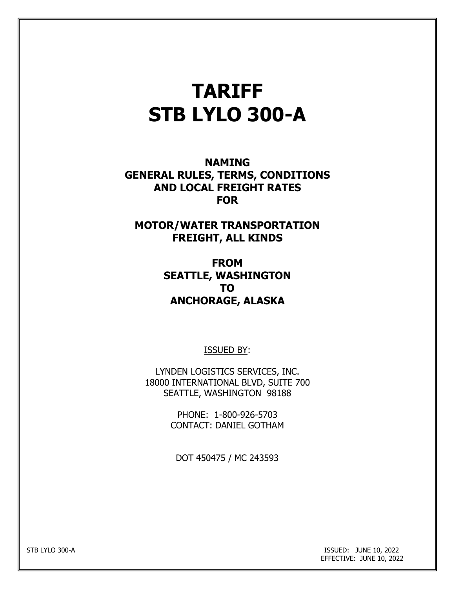# **TARIFF STB LYLO 300-A**

**NAMING GENERAL RULES, TERMS, CONDITIONS AND LOCAL FREIGHT RATES FOR**

**MOTOR/WATER TRANSPORTATION FREIGHT, ALL KINDS**

> **FROM SEATTLE, WASHINGTON TO ANCHORAGE, ALASKA**

> > ISSUED BY:

LYNDEN LOGISTICS SERVICES, INC. 18000 INTERNATIONAL BLVD, SUITE 700 SEATTLE, WASHINGTON 98188

> PHONE: 1-800-926-5703 CONTACT: DANIEL GOTHAM

DOT 450475 / MC 243593

STB LYLO 300-A ISSUED: JUNE 10, 2022 EFFECTIVE: JUNE 10, 2022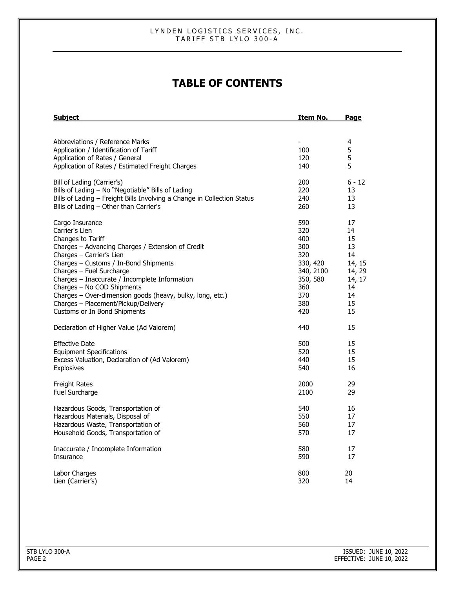# **TABLE OF CONTENTS**

| <b>Subject</b>                                                          | Item No.                 | Page     |
|-------------------------------------------------------------------------|--------------------------|----------|
|                                                                         |                          |          |
| Abbreviations / Reference Marks                                         | $\overline{\phantom{a}}$ | 4        |
| Application / Identification of Tariff                                  | 100                      | 5        |
| Application of Rates / General                                          | 120                      | 5        |
| Application of Rates / Estimated Freight Charges                        | 140                      | 5        |
| Bill of Lading (Carrier's)                                              | 200                      | $6 - 12$ |
| Bills of Lading - No "Negotiable" Bills of Lading                       | 220                      | 13       |
| Bills of Lading - Freight Bills Involving a Change in Collection Status | 240                      | 13       |
| Bills of Lading - Other than Carrier's                                  | 260                      | 13       |
| Cargo Insurance                                                         | 590                      | 17       |
| Carrier's Lien                                                          | 320                      | 14       |
| Changes to Tariff                                                       | 400                      | 15       |
| Charges - Advancing Charges / Extension of Credit                       | 300                      | 13       |
| Charges - Carrier's Lien                                                | 320                      | 14       |
| Charges - Customs / In-Bond Shipments                                   | 330, 420                 | 14, 15   |
| Charges - Fuel Surcharge                                                | 340, 2100                | 14, 29   |
| Charges - Inaccurate / Incomplete Information                           | 350, 580                 | 14, 17   |
| Charges - No COD Shipments                                              | 360                      | 14       |
| Charges - Over-dimension goods (heavy, bulky, long, etc.)               | 370                      | 14       |
| Charges - Placement/Pickup/Delivery                                     | 380                      | 15       |
| Customs or In Bond Shipments                                            | 420                      | 15       |
| Declaration of Higher Value (Ad Valorem)                                | 440                      | 15       |
| <b>Effective Date</b>                                                   | 500                      | 15       |
| <b>Equipment Specifications</b>                                         | 520                      | 15       |
| Excess Valuation, Declaration of (Ad Valorem)                           | 440                      | 15       |
| <b>Explosives</b>                                                       | 540                      | 16       |
| <b>Freight Rates</b>                                                    | 2000                     | 29       |
| Fuel Surcharge                                                          | 2100                     | 29       |
| Hazardous Goods, Transportation of                                      | 540                      | 16       |
| Hazardous Materials, Disposal of                                        | 550                      | 17       |
| Hazardous Waste, Transportation of                                      | 560                      | 17       |
| Household Goods, Transportation of                                      | 570                      | 17       |
| Inaccurate / Incomplete Information                                     | 580                      | 17       |
| Insurance                                                               | 590                      | 17       |
| Labor Charges                                                           | 800                      | 20       |
| Lien (Carrier's)                                                        | 320                      | 14       |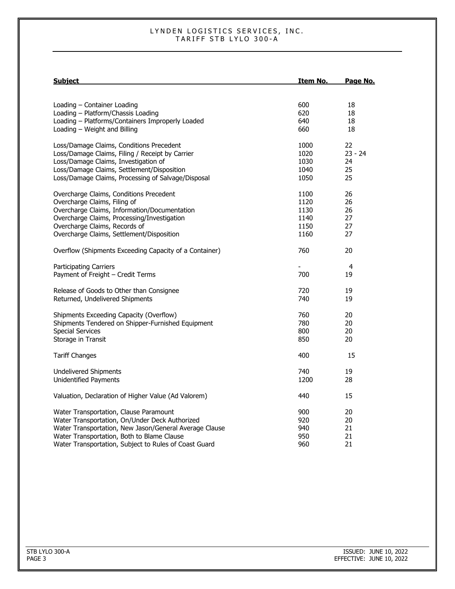| <u>Subject</u>                                         | <u>Item No.</u>          | Page No.       |
|--------------------------------------------------------|--------------------------|----------------|
|                                                        |                          |                |
| Loading - Container Loading                            | 600                      | 18             |
| Loading - Platform/Chassis Loading                     | 620                      | 18             |
| Loading - Platforms/Containers Improperly Loaded       | 640                      | 18             |
| Loading - Weight and Billing                           | 660                      | 18             |
| Loss/Damage Claims, Conditions Precedent               | 1000                     | 22             |
| Loss/Damage Claims, Filing / Receipt by Carrier        | 1020                     | $23 - 24$      |
| Loss/Damage Claims, Investigation of                   | 1030                     | 24             |
| Loss/Damage Claims, Settlement/Disposition             | 1040                     | 25             |
| Loss/Damage Claims, Processing of Salvage/Disposal     | 1050                     | 25             |
| Overcharge Claims, Conditions Precedent                | 1100                     | 26             |
| Overcharge Claims, Filing of                           | 1120                     | 26             |
| Overcharge Claims, Information/Documentation           | 1130                     | 26             |
| Overcharge Claims, Processing/Investigation            | 1140                     | 27             |
| Overcharge Claims, Records of                          | 1150                     | 27             |
| Overcharge Claims, Settlement/Disposition              | 1160                     | 27             |
| Overflow (Shipments Exceeding Capacity of a Container) | 760                      | 20             |
| <b>Participating Carriers</b>                          | $\overline{\phantom{a}}$ | $\overline{a}$ |
| Payment of Freight - Credit Terms                      | 700                      | 19             |
| Release of Goods to Other than Consignee               | 720                      | 19             |
| Returned, Undelivered Shipments                        | 740                      | 19             |
| Shipments Exceeding Capacity (Overflow)                | 760                      | 20             |
| Shipments Tendered on Shipper-Furnished Equipment      | 780                      | 20             |
| <b>Special Services</b>                                | 800                      | 20             |
| Storage in Transit                                     | 850                      | 20             |
| <b>Tariff Changes</b>                                  | 400                      | 15             |
| <b>Undelivered Shipments</b>                           | 740                      | 19             |
| Unidentified Payments                                  | 1200                     | 28             |
| Valuation, Declaration of Higher Value (Ad Valorem)    | 440                      | 15             |
| Water Transportation, Clause Paramount                 | 900                      | 20             |
| Water Transportation, On/Under Deck Authorized         | 920                      | 20             |
| Water Transportation, New Jason/General Average Clause | 940                      | 21             |
| Water Transportation, Both to Blame Clause             | 950                      | 21             |
| Water Transportation, Subject to Rules of Coast Guard  | 960                      | 21             |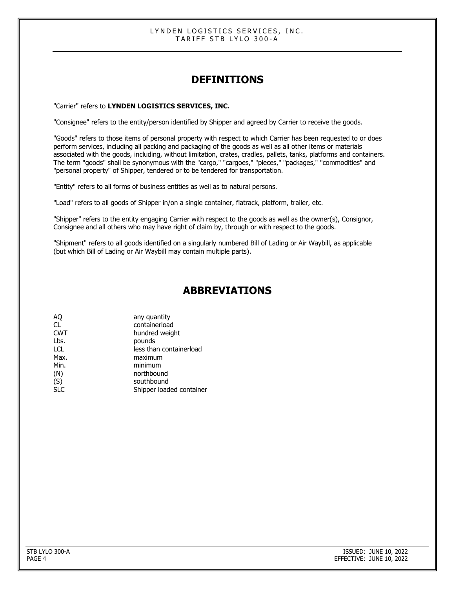# **DEFINITIONS**

"Carrier" refers to **LYNDEN LOGISTICS SERVICES, INC.**

"Consignee" refers to the entity/person identified by Shipper and agreed by Carrier to receive the goods.

"Goods" refers to those items of personal property with respect to which Carrier has been requested to or does perform services, including all packing and packaging of the goods as well as all other items or materials associated with the goods, including, without limitation, crates, cradles, pallets, tanks, platforms and containers. The term "goods" shall be synonymous with the "cargo," "cargoes," "pieces," "packages," "commodities" and "personal property" of Shipper, tendered or to be tendered for transportation.

"Entity" refers to all forms of business entities as well as to natural persons.

"Load" refers to all goods of Shipper in/on a single container, flatrack, platform, trailer, etc.

"Shipper" refers to the entity engaging Carrier with respect to the goods as well as the owner(s), Consignor, Consignee and all others who may have right of claim by, through or with respect to the goods.

"Shipment" refers to all goods identified on a singularly numbered Bill of Lading or Air Waybill, as applicable (but which Bill of Lading or Air Waybill may contain multiple parts).

## **ABBREVIATIONS**

| AQ         | any quantity             |
|------------|--------------------------|
| CL         | containerload            |
| <b>CWT</b> | hundred weight           |
| Lbs.       | pounds                   |
| <b>LCL</b> | less than containerload  |
| Max.       | maximum                  |
| Min.       | minimum                  |
| (N)        | northbound               |
| (S)        | southbound               |
| <b>SLC</b> | Shipper loaded container |
|            |                          |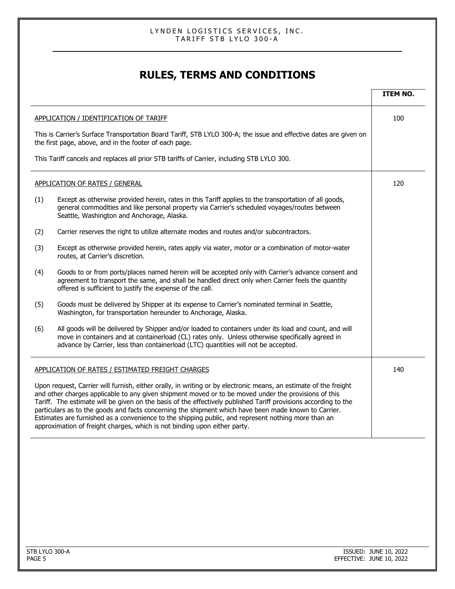# **RULES, TERMS AND CONDITIONS**

|     |                                                                                                                                                                                                                                                                                                                                                                                                                                                                                                                                                                                                                                      | <b>ITEM NO.</b> |
|-----|--------------------------------------------------------------------------------------------------------------------------------------------------------------------------------------------------------------------------------------------------------------------------------------------------------------------------------------------------------------------------------------------------------------------------------------------------------------------------------------------------------------------------------------------------------------------------------------------------------------------------------------|-----------------|
|     | <b>APPLICATION / IDENTIFICATION OF TARIFF</b>                                                                                                                                                                                                                                                                                                                                                                                                                                                                                                                                                                                        | 100             |
|     | This is Carrier's Surface Transportation Board Tariff, STB LYLO 300-A; the issue and effective dates are given on<br>the first page, above, and in the footer of each page.                                                                                                                                                                                                                                                                                                                                                                                                                                                          |                 |
|     | This Tariff cancels and replaces all prior STB tariffs of Carrier, including STB LYLO 300.                                                                                                                                                                                                                                                                                                                                                                                                                                                                                                                                           |                 |
|     | <b>APPLICATION OF RATES / GENERAL</b>                                                                                                                                                                                                                                                                                                                                                                                                                                                                                                                                                                                                | 120             |
| (1) | Except as otherwise provided herein, rates in this Tariff applies to the transportation of all goods,<br>general commodities and like personal property via Carrier's scheduled voyages/routes between<br>Seattle, Washington and Anchorage, Alaska.                                                                                                                                                                                                                                                                                                                                                                                 |                 |
| (2) | Carrier reserves the right to utilize alternate modes and routes and/or subcontractors.                                                                                                                                                                                                                                                                                                                                                                                                                                                                                                                                              |                 |
| (3) | Except as otherwise provided herein, rates apply via water, motor or a combination of motor-water<br>routes, at Carrier's discretion.                                                                                                                                                                                                                                                                                                                                                                                                                                                                                                |                 |
| (4) | Goods to or from ports/places named herein will be accepted only with Carrier's advance consent and<br>agreement to transport the same, and shall be handled direct only when Carrier feels the quantity<br>offered is sufficient to justify the expense of the call.                                                                                                                                                                                                                                                                                                                                                                |                 |
| (5) | Goods must be delivered by Shipper at its expense to Carrier's nominated terminal in Seattle,<br>Washington, for transportation hereunder to Anchorage, Alaska.                                                                                                                                                                                                                                                                                                                                                                                                                                                                      |                 |
| (6) | All goods will be delivered by Shipper and/or loaded to containers under its load and count, and will<br>move in containers and at containerload (CL) rates only. Unless otherwise specifically agreed in<br>advance by Carrier, less than containerload (LTC) quantities will not be accepted.                                                                                                                                                                                                                                                                                                                                      |                 |
|     | APPLICATION OF RATES / ESTIMATED FREIGHT CHARGES                                                                                                                                                                                                                                                                                                                                                                                                                                                                                                                                                                                     | 140             |
|     | Upon request, Carrier will furnish, either orally, in writing or by electronic means, an estimate of the freight<br>and other charges applicable to any given shipment moved or to be moved under the provisions of this<br>Tariff. The estimate will be given on the basis of the effectively published Tariff provisions according to the<br>particulars as to the goods and facts concerning the shipment which have been made known to Carrier.<br>Estimates are furnished as a convenience to the shipping public, and represent nothing more than an approximation of freight charges, which is not binding upon either party. |                 |
|     |                                                                                                                                                                                                                                                                                                                                                                                                                                                                                                                                                                                                                                      |                 |
|     |                                                                                                                                                                                                                                                                                                                                                                                                                                                                                                                                                                                                                                      |                 |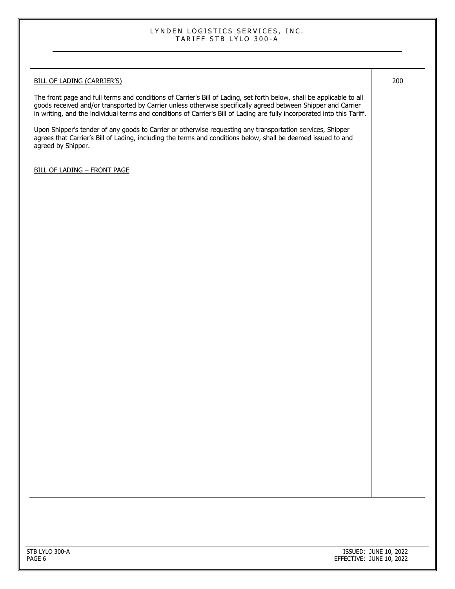# BILL OF LADING (CARRIER'S) The front page and full terms and conditions of Carrier's Bill of Lading, set forth below, shall be applicable to all goods received and/or transported by Carrier unless otherwise specifically agreed between Shipper and Carrier in writing, and the individual terms and conditions of Carrier's Bill of Lading are fully incorporated into this Tariff. Upon Shipper's tender of any goods to Carrier or otherwise requesting any transportation services, Shipper agrees that Carrier's Bill of Lading, including the terms and conditions below, shall be deemed issued to and agreed by Shipper. BILL OF LADING – FRONT PAGE 200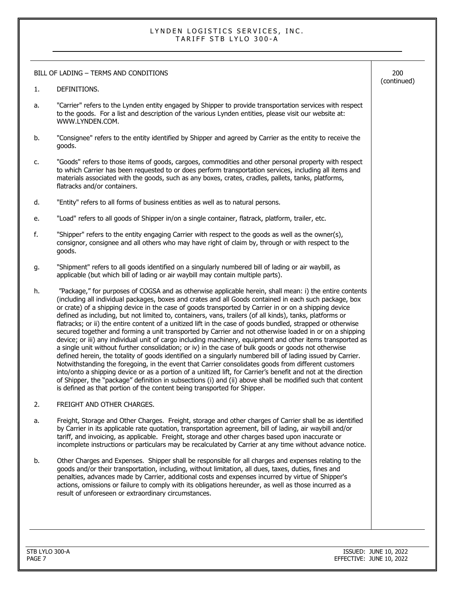|    | BILL OF LADING - TERMS AND CONDITIONS                                                                                                                                                                                                                                                                                                                                                                                                                                                                                                                                                                                                                                                                                                                                                                                                                                                                                                                                                                                                                                                                                                                                                                                                                                                                                                                                                                                     | 200<br>(continued) |
|----|---------------------------------------------------------------------------------------------------------------------------------------------------------------------------------------------------------------------------------------------------------------------------------------------------------------------------------------------------------------------------------------------------------------------------------------------------------------------------------------------------------------------------------------------------------------------------------------------------------------------------------------------------------------------------------------------------------------------------------------------------------------------------------------------------------------------------------------------------------------------------------------------------------------------------------------------------------------------------------------------------------------------------------------------------------------------------------------------------------------------------------------------------------------------------------------------------------------------------------------------------------------------------------------------------------------------------------------------------------------------------------------------------------------------------|--------------------|
| 1. | DEFINITIONS.                                                                                                                                                                                                                                                                                                                                                                                                                                                                                                                                                                                                                                                                                                                                                                                                                                                                                                                                                                                                                                                                                                                                                                                                                                                                                                                                                                                                              |                    |
| а. | "Carrier" refers to the Lynden entity engaged by Shipper to provide transportation services with respect<br>to the goods. For a list and description of the various Lynden entities, please visit our website at:<br>WWW.LYNDEN.COM.                                                                                                                                                                                                                                                                                                                                                                                                                                                                                                                                                                                                                                                                                                                                                                                                                                                                                                                                                                                                                                                                                                                                                                                      |                    |
| b. | "Consignee" refers to the entity identified by Shipper and agreed by Carrier as the entity to receive the<br>goods.                                                                                                                                                                                                                                                                                                                                                                                                                                                                                                                                                                                                                                                                                                                                                                                                                                                                                                                                                                                                                                                                                                                                                                                                                                                                                                       |                    |
| c. | "Goods" refers to those items of goods, cargoes, commodities and other personal property with respect<br>to which Carrier has been requested to or does perform transportation services, including all items and<br>materials associated with the goods, such as any boxes, crates, cradles, pallets, tanks, platforms,<br>flatracks and/or containers.                                                                                                                                                                                                                                                                                                                                                                                                                                                                                                                                                                                                                                                                                                                                                                                                                                                                                                                                                                                                                                                                   |                    |
| d. | "Entity" refers to all forms of business entities as well as to natural persons.                                                                                                                                                                                                                                                                                                                                                                                                                                                                                                                                                                                                                                                                                                                                                                                                                                                                                                                                                                                                                                                                                                                                                                                                                                                                                                                                          |                    |
| е. | "Load" refers to all goods of Shipper in/on a single container, flatrack, platform, trailer, etc.                                                                                                                                                                                                                                                                                                                                                                                                                                                                                                                                                                                                                                                                                                                                                                                                                                                                                                                                                                                                                                                                                                                                                                                                                                                                                                                         |                    |
| f. | "Shipper" refers to the entity engaging Carrier with respect to the goods as well as the owner(s),<br>consignor, consignee and all others who may have right of claim by, through or with respect to the<br>goods.                                                                                                                                                                                                                                                                                                                                                                                                                                                                                                                                                                                                                                                                                                                                                                                                                                                                                                                                                                                                                                                                                                                                                                                                        |                    |
| g. | "Shipment" refers to all goods identified on a singularly numbered bill of lading or air waybill, as<br>applicable (but which bill of lading or air waybill may contain multiple parts).                                                                                                                                                                                                                                                                                                                                                                                                                                                                                                                                                                                                                                                                                                                                                                                                                                                                                                                                                                                                                                                                                                                                                                                                                                  |                    |
| h. | "Package," for purposes of COGSA and as otherwise applicable herein, shall mean: i) the entire contents<br>(including all individual packages, boxes and crates and all Goods contained in each such package, box<br>or crate) of a shipping device in the case of goods transported by Carrier in or on a shipping device<br>defined as including, but not limited to, containers, vans, trailers (of all kinds), tanks, platforms or<br>flatracks; or ii) the entire content of a unitized lift in the case of goods bundled, strapped or otherwise<br>secured together and forming a unit transported by Carrier and not otherwise loaded in or on a shipping<br>device; or iii) any individual unit of cargo including machinery, equipment and other items transported as<br>a single unit without further consolidation; or iv) in the case of bulk goods or goods not otherwise<br>defined herein, the totality of goods identified on a singularly numbered bill of lading issued by Carrier.<br>Notwithstanding the foregoing, in the event that Carrier consolidates goods from different customers<br>into/onto a shipping device or as a portion of a unitized lift, for Carrier's benefit and not at the direction<br>of Shipper, the "package" definition in subsections (i) and (ii) above shall be modified such that content<br>is defined as that portion of the content being transported for Shipper. |                    |
| 2. | FREIGHT AND OTHER CHARGES.                                                                                                                                                                                                                                                                                                                                                                                                                                                                                                                                                                                                                                                                                                                                                                                                                                                                                                                                                                                                                                                                                                                                                                                                                                                                                                                                                                                                |                    |
| а. | Freight, Storage and Other Charges. Freight, storage and other charges of Carrier shall be as identified<br>by Carrier in its applicable rate quotation, transportation agreement, bill of lading, air waybill and/or<br>tariff, and invoicing, as applicable. Freight, storage and other charges based upon inaccurate or<br>incomplete instructions or particulars may be recalculated by Carrier at any time without advance notice.                                                                                                                                                                                                                                                                                                                                                                                                                                                                                                                                                                                                                                                                                                                                                                                                                                                                                                                                                                                   |                    |
| b. | Other Charges and Expenses. Shipper shall be responsible for all charges and expenses relating to the<br>goods and/or their transportation, including, without limitation, all dues, taxes, duties, fines and<br>penalties, advances made by Carrier, additional costs and expenses incurred by virtue of Shipper's<br>actions, omissions or failure to comply with its obligations hereunder, as well as those incurred as a<br>result of unforeseen or extraordinary circumstances.                                                                                                                                                                                                                                                                                                                                                                                                                                                                                                                                                                                                                                                                                                                                                                                                                                                                                                                                     |                    |
|    |                                                                                                                                                                                                                                                                                                                                                                                                                                                                                                                                                                                                                                                                                                                                                                                                                                                                                                                                                                                                                                                                                                                                                                                                                                                                                                                                                                                                                           |                    |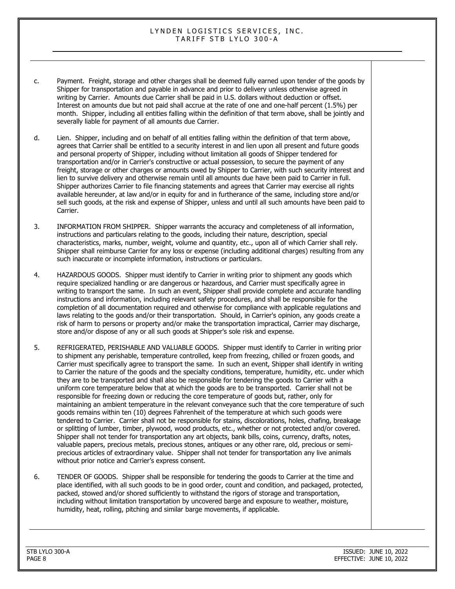- c. Payment. Freight, storage and other charges shall be deemed fully earned upon tender of the goods by Shipper for transportation and payable in advance and prior to delivery unless otherwise agreed in writing by Carrier. Amounts due Carrier shall be paid in U.S. dollars without deduction or offset. Interest on amounts due but not paid shall accrue at the rate of one and one-half percent (1.5%) per month. Shipper, including all entities falling within the definition of that term above, shall be jointly and severally liable for payment of all amounts due Carrier.
- d. Lien. Shipper, including and on behalf of all entities falling within the definition of that term above, agrees that Carrier shall be entitled to a security interest in and lien upon all present and future goods and personal property of Shipper, including without limitation all goods of Shipper tendered for transportation and/or in Carrier's constructive or actual possession, to secure the payment of any freight, storage or other charges or amounts owed by Shipper to Carrier, with such security interest and lien to survive delivery and otherwise remain until all amounts due have been paid to Carrier in full. Shipper authorizes Carrier to file financing statements and agrees that Carrier may exercise all rights available hereunder, at law and/or in equity for and in furtherance of the same, including store and/or sell such goods, at the risk and expense of Shipper, unless and until all such amounts have been paid to Carrier.
- 3. INFORMATION FROM SHIPPER. Shipper warrants the accuracy and completeness of all information, instructions and particulars relating to the goods, including their nature, description, special characteristics, marks, number, weight, volume and quantity, etc., upon all of which Carrier shall rely. Shipper shall reimburse Carrier for any loss or expense (including additional charges) resulting from any such inaccurate or incomplete information, instructions or particulars.
- 4. HAZARDOUS GOODS. Shipper must identify to Carrier in writing prior to shipment any goods which require specialized handling or are dangerous or hazardous, and Carrier must specifically agree in writing to transport the same. In such an event, Shipper shall provide complete and accurate handling instructions and information, including relevant safety procedures, and shall be responsible for the completion of all documentation required and otherwise for compliance with applicable regulations and laws relating to the goods and/or their transportation. Should, in Carrier's opinion, any goods create a risk of harm to persons or property and/or make the transportation impractical, Carrier may discharge, store and/or dispose of any or all such goods at Shipper's sole risk and expense.
- 5. REFRIGERATED, PERISHABLE AND VALUABLE GOODS. Shipper must identify to Carrier in writing prior to shipment any perishable, temperature controlled, keep from freezing, chilled or frozen goods, and Carrier must specifically agree to transport the same. In such an event, Shipper shall identify in writing to Carrier the nature of the goods and the specialty conditions, temperature, humidity, etc. under which they are to be transported and shall also be responsible for tendering the goods to Carrier with a uniform core temperature below that at which the goods are to be transported. Carrier shall not be responsible for freezing down or reducing the core temperature of goods but, rather, only for maintaining an ambient temperature in the relevant conveyance such that the core temperature of such goods remains within ten (10) degrees Fahrenheit of the temperature at which such goods were tendered to Carrier. Carrier shall not be responsible for stains, discolorations, holes, chafing, breakage or splitting of lumber, timber, plywood, wood products, etc., whether or not protected and/or covered. Shipper shall not tender for transportation any art objects, bank bills, coins, currency, drafts, notes, valuable papers, precious metals, precious stones, antiques or any other rare, old, precious or semiprecious articles of extraordinary value. Shipper shall not tender for transportation any live animals without prior notice and Carrier's express consent.
- 6. TENDER OF GOODS. Shipper shall be responsible for tendering the goods to Carrier at the time and place identified, with all such goods to be in good order, count and condition, and packaged, protected, packed, stowed and/or shored sufficiently to withstand the rigors of storage and transportation, including without limitation transportation by uncovered barge and exposure to weather, moisture, humidity, heat, rolling, pitching and similar barge movements, if applicable.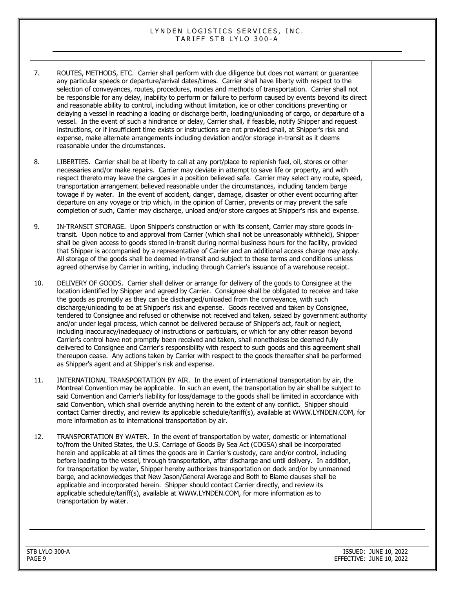- 7. ROUTES, METHODS, ETC. Carrier shall perform with due diligence but does not warrant or guarantee any particular speeds or departure/arrival dates/times. Carrier shall have liberty with respect to the selection of conveyances, routes, procedures, modes and methods of transportation. Carrier shall not be responsible for any delay, inability to perform or failure to perform caused by events beyond its direct and reasonable ability to control, including without limitation, ice or other conditions preventing or delaying a vessel in reaching a loading or discharge berth, loading/unloading of cargo, or departure of a vessel. In the event of such a hindrance or delay, Carrier shall, if feasible, notify Shipper and request instructions, or if insufficient time exists or instructions are not provided shall, at Shipper's risk and expense, make alternate arrangements including deviation and/or storage in-transit as it deems reasonable under the circumstances.
- 8. LIBERTIES. Carrier shall be at liberty to call at any port/place to replenish fuel, oil, stores or other necessaries and/or make repairs. Carrier may deviate in attempt to save life or property, and with respect thereto may leave the cargoes in a position believed safe. Carrier may select any route, speed, transportation arrangement believed reasonable under the circumstances, including tandem barge towage if by water. In the event of accident, danger, damage, disaster or other event occurring after departure on any voyage or trip which, in the opinion of Carrier, prevents or may prevent the safe completion of such, Carrier may discharge, unload and/or store cargoes at Shipper's risk and expense.
- 9. IN-TRANSIT STORAGE. Upon Shipper's construction or with its consent, Carrier may store goods intransit. Upon notice to and approval from Carrier (which shall not be unreasonably withheld), Shipper shall be given access to goods stored in-transit during normal business hours for the facility, provided that Shipper is accompanied by a representative of Carrier and an additional access charge may apply. All storage of the goods shall be deemed in-transit and subject to these terms and conditions unless agreed otherwise by Carrier in writing, including through Carrier's issuance of a warehouse receipt.
- 10. DELIVERY OF GOODS. Carrier shall deliver or arrange for delivery of the goods to Consignee at the location identified by Shipper and agreed by Carrier. Consignee shall be obligated to receive and take the goods as promptly as they can be discharged/unloaded from the conveyance, with such discharge/unloading to be at Shipper's risk and expense. Goods received and taken by Consignee, tendered to Consignee and refused or otherwise not received and taken, seized by government authority and/or under legal process, which cannot be delivered because of Shipper's act, fault or neglect, including inaccuracy/inadequacy of instructions or particulars, or which for any other reason beyond Carrier's control have not promptly been received and taken, shall nonetheless be deemed fully delivered to Consignee and Carrier's responsibility with respect to such goods and this agreement shall thereupon cease. Any actions taken by Carrier with respect to the goods thereafter shall be performed as Shipper's agent and at Shipper's risk and expense.
- 11. INTERNATIONAL TRANSPORTATION BY AIR. In the event of international transportation by air, the Montreal Convention may be applicable. In such an event, the transportation by air shall be subject to said Convention and Carrier's liability for loss/damage to the goods shall be limited in accordance with said Convention, which shall override anything herein to the extent of any conflict. Shipper should contact Carrier directly, and review its applicable schedule/tariff(s), available at WWW.LYNDEN.COM, for more information as to international transportation by air.
- 12. TRANSPORTATION BY WATER. In the event of transportation by water, domestic or international to/from the United States, the U.S. Carriage of Goods By Sea Act (COGSA) shall be incorporated herein and applicable at all times the goods are in Carrier's custody, care and/or control, including before loading to the vessel, through transportation, after discharge and until delivery. In addition, for transportation by water, Shipper hereby authorizes transportation on deck and/or by unmanned barge, and acknowledges that New Jason/General Average and Both to Blame clauses shall be applicable and incorporated herein. Shipper should contact Carrier directly, and review its applicable schedule/tariff(s), available at WWW.LYNDEN.COM, for more information as to transportation by water.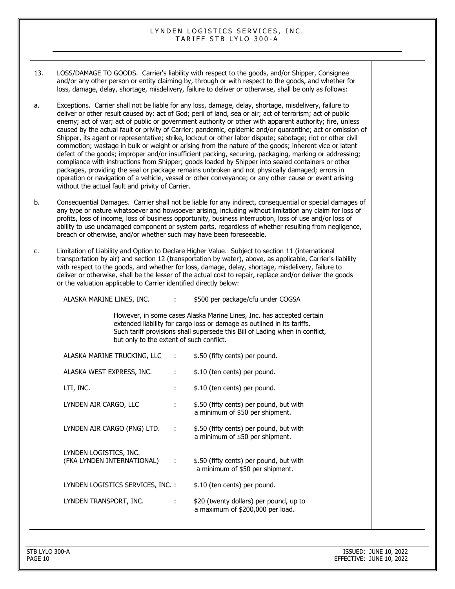- 13. LOSS/DAMAGE TO GOODS. Carrier's liability with respect to the goods, and/or Shipper, Consignee and/or any other person or entity claiming by, through or with respect to the goods, and whether for loss, damage, delay, shortage, misdelivery, failure to deliver or otherwise, shall be only as follows:
- a. Exceptions. Carrier shall not be liable for any loss, damage, delay, shortage, misdelivery, failure to deliver or other result caused by: act of God; peril of land, sea or air; act of terrorism; act of public enemy; act of war; act of public or government authority or other with apparent authority; fire, unless caused by the actual fault or privity of Carrier; pandemic, epidemic and/or quarantine; act or omission of Shipper, its agent or representative; strike, lockout or other labor dispute; sabotage; riot or other civil commotion; wastage in bulk or weight or arising from the nature of the goods; inherent vice or latent defect of the goods; improper and/or insufficient packing, securing, packaging, marking or addressing; compliance with instructions from Shipper; goods loaded by Shipper into sealed containers or other packages, providing the seal or package remains unbroken and not physically damaged; errors in operation or navigation of a vehicle, vessel or other conveyance; or any other cause or event arising without the actual fault and privity of Carrier.
- b. Consequential Damages. Carrier shall not be liable for any indirect, consequential or special damages of any type or nature whatsoever and howsoever arising, including without limitation any claim for loss of profits, loss of income, loss of business opportunity, business interruption, loss of use and/or loss of ability to use undamaged component or system parts, regardless of whether resulting from negligence, breach or otherwise, and/or whether such may have been foreseeable.
- c. Limitation of Liability and Option to Declare Higher Value. Subject to section 11 (international transportation by air) and section 12 (transportation by water), above, as applicable, Carrier's liability with respect to the goods, and whether for loss, damage, delay, shortage, misdelivery, failure to deliver or otherwise, shall be the lesser of the actual cost to repair, replace and/or deliver the goods or the valuation applicable to Carrier identified directly below:

| ALASKA MARINE LINES, INC.                            | $\mathbf{1}$ | \$500 per package/cfu under COGSA                                                                                                                                                                                                |
|------------------------------------------------------|--------------|----------------------------------------------------------------------------------------------------------------------------------------------------------------------------------------------------------------------------------|
| but only to the extent of such conflict.             |              | However, in some cases Alaska Marine Lines, Inc. has accepted certain<br>extended liability for cargo loss or damage as outlined in its tariffs.<br>Such tariff provisions shall supersede this Bill of Lading when in conflict, |
| ALASKA MARINE TRUCKING, LLC                          | ÷            | \$.50 (fifty cents) per pound.                                                                                                                                                                                                   |
| ALASKA WEST EXPRESS, INC.                            | ÷            | \$.10 (ten cents) per pound.                                                                                                                                                                                                     |
| LTI, INC.                                            | ÷            | \$.10 (ten cents) per pound.                                                                                                                                                                                                     |
| LYNDEN AIR CARGO, LLC                                |              | \$.50 (fifty cents) per pound, but with<br>a minimum of \$50 per shipment.                                                                                                                                                       |
| LYNDEN AIR CARGO (PNG) LTD.                          | ÷            | \$.50 (fifty cents) per pound, but with<br>a minimum of \$50 per shipment.                                                                                                                                                       |
| LYNDEN LOGISTICS, INC.<br>(FKA LYNDEN INTERNATIONAL) | ÷            | \$.50 (fifty cents) per pound, but with<br>a minimum of \$50 per shipment.                                                                                                                                                       |
| LYNDEN LOGISTICS SERVICES, INC. :                    |              | \$.10 (ten cents) per pound.                                                                                                                                                                                                     |
| LYNDEN TRANSPORT, INC.                               |              | \$20 (twenty dollars) per pound, up to<br>a maximum of \$200,000 per load.                                                                                                                                                       |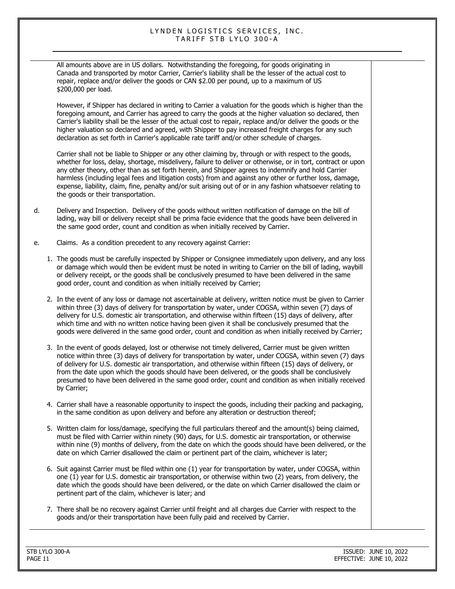All amounts above are in US dollars. Notwithstanding the foregoing, for goods originating in Canada and transported by motor Carrier, Carrier's liability shall be the lesser of the actual cost to repair, replace and/or deliver the goods or CAN \$2.00 per pound, up to a maximum of US \$200,000 per load.

However, if Shipper has declared in writing to Carrier a valuation for the goods which is higher than the foregoing amount, and Carrier has agreed to carry the goods at the higher valuation so declared, then Carrier's liability shall be the lesser of the actual cost to repair, replace and/or deliver the goods or the higher valuation so declared and agreed, with Shipper to pay increased freight charges for any such declaration as set forth in Carrier's applicable rate tariff and/or other schedule of charges.

Carrier shall not be liable to Shipper or any other claiming by, through or with respect to the goods, whether for loss, delay, shortage, misdelivery, failure to deliver or otherwise, or in tort, contract or upon any other theory, other than as set forth herein, and Shipper agrees to indemnify and hold Carrier harmless (including legal fees and litigation costs) from and against any other or further loss, damage, expense, liability, claim, fine, penalty and/or suit arising out of or in any fashion whatsoever relating to the goods or their transportation.

- d. Delivery and Inspection. Delivery of the goods without written notification of damage on the bill of lading, way bill or delivery receipt shall be prima facie evidence that the goods have been delivered in the same good order, count and condition as when initially received by Carrier.
- e. Claims. As a condition precedent to any recovery against Carrier:
	- 1. The goods must be carefully inspected by Shipper or Consignee immediately upon delivery, and any loss or damage which would then be evident must be noted in writing to Carrier on the bill of lading, waybill or delivery receipt, or the goods shall be conclusively presumed to have been delivered in the same good order, count and condition as when initially received by Carrier;
	- 2. In the event of any loss or damage not ascertainable at delivery, written notice must be given to Carrier within three (3) days of delivery for transportation by water, under COGSA, within seven (7) days of delivery for U.S. domestic air transportation, and otherwise within fifteen (15) days of delivery, after which time and with no written notice having been given it shall be conclusively presumed that the goods were delivered in the same good order, count and condition as when initially received by Carrier;
	- 3. In the event of goods delayed, lost or otherwise not timely delivered, Carrier must be given written notice within three (3) days of delivery for transportation by water, under COGSA, within seven (7) days of delivery for U.S. domestic air transportation, and otherwise within fifteen (15) days of delivery, or from the date upon which the goods should have been delivered, or the goods shall be conclusively presumed to have been delivered in the same good order, count and condition as when initially received by Carrier;
	- 4. Carrier shall have a reasonable opportunity to inspect the goods, including their packing and packaging, in the same condition as upon delivery and before any alteration or destruction thereof;
	- 5. Written claim for loss/damage, specifying the full particulars thereof and the amount(s) being claimed, must be filed with Carrier within ninety (90) days, for U.S. domestic air transportation, or otherwise within nine (9) months of delivery, from the date on which the goods should have been delivered, or the date on which Carrier disallowed the claim or pertinent part of the claim, whichever is later;
	- 6. Suit against Carrier must be filed within one (1) year for transportation by water, under COGSA, within one (1) year for U.S. domestic air transportation, or otherwise within two (2) years, from delivery, the date which the goods should have been delivered, or the date on which Carrier disallowed the claim or pertinent part of the claim, whichever is later; and
	- 7. There shall be no recovery against Carrier until freight and all charges due Carrier with respect to the goods and/or their transportation have been fully paid and received by Carrier.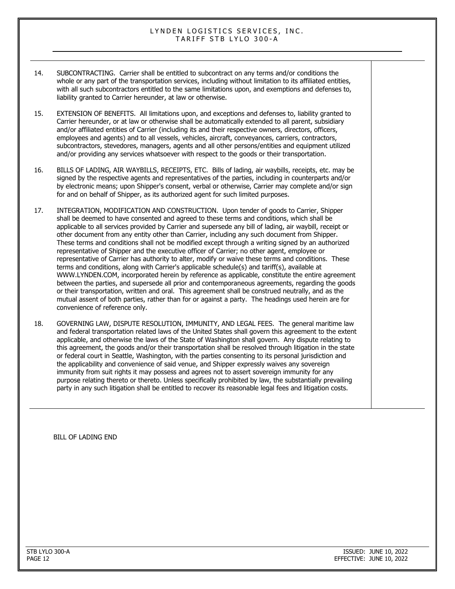- 14. SUBCONTRACTING. Carrier shall be entitled to subcontract on any terms and/or conditions the whole or any part of the transportation services, including without limitation to its affiliated entities, with all such subcontractors entitled to the same limitations upon, and exemptions and defenses to, liability granted to Carrier hereunder, at law or otherwise.
- 15. EXTENSION OF BENEFITS. All limitations upon, and exceptions and defenses to, liability granted to Carrier hereunder, or at law or otherwise shall be automatically extended to all parent, subsidiary and/or affiliated entities of Carrier (including its and their respective owners, directors, officers, employees and agents) and to all vessels, vehicles, aircraft, conveyances, carriers, contractors, subcontractors, stevedores, managers, agents and all other persons/entities and equipment utilized and/or providing any services whatsoever with respect to the goods or their transportation.
- 16. BILLS OF LADING, AIR WAYBILLS, RECEIPTS, ETC. Bills of lading, air waybills, receipts, etc. may be signed by the respective agents and representatives of the parties, including in counterparts and/or by electronic means; upon Shipper's consent, verbal or otherwise, Carrier may complete and/or sign for and on behalf of Shipper, as its authorized agent for such limited purposes.
- 17. INTEGRATION, MODIFICATION AND CONSTRUCTION. Upon tender of goods to Carrier, Shipper shall be deemed to have consented and agreed to these terms and conditions, which shall be applicable to all services provided by Carrier and supersede any bill of lading, air waybill, receipt or other document from any entity other than Carrier, including any such document from Shipper. These terms and conditions shall not be modified except through a writing signed by an authorized representative of Shipper and the executive officer of Carrier; no other agent, employee or representative of Carrier has authority to alter, modify or waive these terms and conditions. These terms and conditions, along with Carrier's applicable schedule(s) and tariff(s), available at WWW.LYNDEN.COM, incorporated herein by reference as applicable, constitute the entire agreement between the parties, and supersede all prior and contemporaneous agreements, regarding the goods or their transportation, written and oral. This agreement shall be construed neutrally, and as the mutual assent of both parties, rather than for or against a party. The headings used herein are for convenience of reference only.
- 18. GOVERNING LAW, DISPUTE RESOLUTION, IMMUNITY, AND LEGAL FEES. The general maritime law and federal transportation related laws of the United States shall govern this agreement to the extent applicable, and otherwise the laws of the State of Washington shall govern. Any dispute relating to this agreement, the goods and/or their transportation shall be resolved through litigation in the state or federal court in Seattle, Washington, with the parties consenting to its personal jurisdiction and the applicability and convenience of said venue, and Shipper expressly waives any sovereign immunity from suit rights it may possess and agrees not to assert sovereign immunity for any purpose relating thereto or thereto. Unless specifically prohibited by law, the substantially prevailing party in any such litigation shall be entitled to recover its reasonable legal fees and litigation costs.

BILL OF LADING END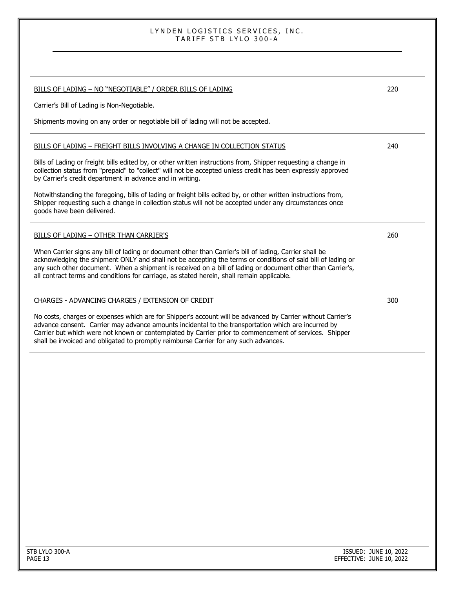| BILLS OF LADING - NO "NEGOTIABLE" / ORDER BILLS OF LADING                                                                                                                                                                                                                                                                                                                                                                           | 220 |
|-------------------------------------------------------------------------------------------------------------------------------------------------------------------------------------------------------------------------------------------------------------------------------------------------------------------------------------------------------------------------------------------------------------------------------------|-----|
| Carrier's Bill of Lading is Non-Negotiable.                                                                                                                                                                                                                                                                                                                                                                                         |     |
| Shipments moving on any order or negotiable bill of lading will not be accepted.                                                                                                                                                                                                                                                                                                                                                    |     |
| BILLS OF LADING - FREIGHT BILLS INVOLVING A CHANGE IN COLLECTION STATUS                                                                                                                                                                                                                                                                                                                                                             | 240 |
| Bills of Lading or freight bills edited by, or other written instructions from, Shipper requesting a change in<br>collection status from "prepaid" to "collect" will not be accepted unless credit has been expressly approved<br>by Carrier's credit department in advance and in writing.                                                                                                                                         |     |
| Notwithstanding the foregoing, bills of lading or freight bills edited by, or other written instructions from,<br>Shipper requesting such a change in collection status will not be accepted under any circumstances once<br>goods have been delivered.                                                                                                                                                                             |     |
| BILLS OF LADING - OTHER THAN CARRIER'S                                                                                                                                                                                                                                                                                                                                                                                              | 260 |
| When Carrier signs any bill of lading or document other than Carrier's bill of lading, Carrier shall be<br>acknowledging the shipment ONLY and shall not be accepting the terms or conditions of said bill of lading or<br>any such other document. When a shipment is received on a bill of lading or document other than Carrier's,<br>all contract terms and conditions for carriage, as stated herein, shall remain applicable. |     |
| CHARGES - ADVANCING CHARGES / EXTENSION OF CREDIT                                                                                                                                                                                                                                                                                                                                                                                   | 300 |
| No costs, charges or expenses which are for Shipper's account will be advanced by Carrier without Carrier's<br>advance consent. Carrier may advance amounts incidental to the transportation which are incurred by<br>Carrier but which were not known or contemplated by Carrier prior to commencement of services. Shipper<br>shall be invoiced and obligated to promptly reimburse Carrier for any such advances.                |     |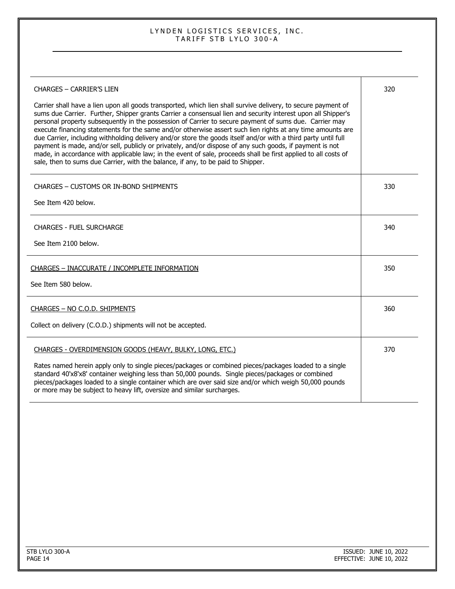| <b>CHARGES - CARRIER'S LIEN</b>                                                                                                                                                                                                                                                                                                                                                                                                                                                                                                                                                                                                                                                                                                                                                                                                                                                           | 320 |
|-------------------------------------------------------------------------------------------------------------------------------------------------------------------------------------------------------------------------------------------------------------------------------------------------------------------------------------------------------------------------------------------------------------------------------------------------------------------------------------------------------------------------------------------------------------------------------------------------------------------------------------------------------------------------------------------------------------------------------------------------------------------------------------------------------------------------------------------------------------------------------------------|-----|
| Carrier shall have a lien upon all goods transported, which lien shall survive delivery, to secure payment of<br>sums due Carrier. Further, Shipper grants Carrier a consensual lien and security interest upon all Shipper's<br>personal property subsequently in the possession of Carrier to secure payment of sums due. Carrier may<br>execute financing statements for the same and/or otherwise assert such lien rights at any time amounts are<br>due Carrier, including withholding delivery and/or store the goods itself and/or with a third party until full<br>payment is made, and/or sell, publicly or privately, and/or dispose of any such goods, if payment is not<br>made, in accordance with applicable law; in the event of sale, proceeds shall be first applied to all costs of<br>sale, then to sums due Carrier, with the balance, if any, to be paid to Shipper. |     |
| <b>CHARGES - CUSTOMS OR IN-BOND SHIPMENTS</b>                                                                                                                                                                                                                                                                                                                                                                                                                                                                                                                                                                                                                                                                                                                                                                                                                                             | 330 |
| See Item 420 below.                                                                                                                                                                                                                                                                                                                                                                                                                                                                                                                                                                                                                                                                                                                                                                                                                                                                       |     |
| <b>CHARGES - FUEL SURCHARGE</b>                                                                                                                                                                                                                                                                                                                                                                                                                                                                                                                                                                                                                                                                                                                                                                                                                                                           | 340 |
| See Item 2100 below.                                                                                                                                                                                                                                                                                                                                                                                                                                                                                                                                                                                                                                                                                                                                                                                                                                                                      |     |
| CHARGES - INACCURATE / INCOMPLETE INFORMATION                                                                                                                                                                                                                                                                                                                                                                                                                                                                                                                                                                                                                                                                                                                                                                                                                                             | 350 |
| See Item 580 below.                                                                                                                                                                                                                                                                                                                                                                                                                                                                                                                                                                                                                                                                                                                                                                                                                                                                       |     |
| CHARGES - NO C.O.D. SHIPMENTS                                                                                                                                                                                                                                                                                                                                                                                                                                                                                                                                                                                                                                                                                                                                                                                                                                                             | 360 |
| Collect on delivery (C.O.D.) shipments will not be accepted.                                                                                                                                                                                                                                                                                                                                                                                                                                                                                                                                                                                                                                                                                                                                                                                                                              |     |
| CHARGES - OVERDIMENSION GOODS (HEAVY, BULKY, LONG, ETC.)                                                                                                                                                                                                                                                                                                                                                                                                                                                                                                                                                                                                                                                                                                                                                                                                                                  | 370 |
| Rates named herein apply only to single pieces/packages or combined pieces/packages loaded to a single<br>standard 40'x8'x8' container weighing less than 50,000 pounds. Single pieces/packages or combined<br>pieces/packages loaded to a single container which are over said size and/or which weigh 50,000 pounds<br>or more may be subject to heavy lift, oversize and similar surcharges.                                                                                                                                                                                                                                                                                                                                                                                                                                                                                           |     |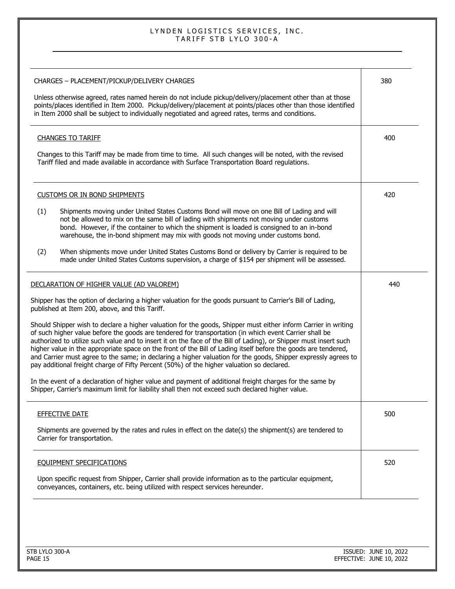| CHARGES - PLACEMENT/PICKUP/DELIVERY CHARGES<br>Unless otherwise agreed, rates named herein do not include pickup/delivery/placement other than at those<br>points/places identified in Item 2000. Pickup/delivery/placement at points/places other than those identified<br>in Item 2000 shall be subject to individually negotiated and agreed rates, terms and conditions.                                                                                                                                                                                                                                                                                                   | 380 |
|--------------------------------------------------------------------------------------------------------------------------------------------------------------------------------------------------------------------------------------------------------------------------------------------------------------------------------------------------------------------------------------------------------------------------------------------------------------------------------------------------------------------------------------------------------------------------------------------------------------------------------------------------------------------------------|-----|
|                                                                                                                                                                                                                                                                                                                                                                                                                                                                                                                                                                                                                                                                                |     |
| <b>CHANGES TO TARIFF</b>                                                                                                                                                                                                                                                                                                                                                                                                                                                                                                                                                                                                                                                       | 400 |
| Changes to this Tariff may be made from time to time. All such changes will be noted, with the revised<br>Tariff filed and made available in accordance with Surface Transportation Board regulations.                                                                                                                                                                                                                                                                                                                                                                                                                                                                         |     |
| <b>CUSTOMS OR IN BOND SHIPMENTS</b>                                                                                                                                                                                                                                                                                                                                                                                                                                                                                                                                                                                                                                            | 420 |
| (1)<br>Shipments moving under United States Customs Bond will move on one Bill of Lading and will<br>not be allowed to mix on the same bill of lading with shipments not moving under customs<br>bond. However, if the container to which the shipment is loaded is consigned to an in-bond<br>warehouse, the in-bond shipment may mix with goods not moving under customs bond.                                                                                                                                                                                                                                                                                               |     |
| When shipments move under United States Customs Bond or delivery by Carrier is required to be<br>(2)<br>made under United States Customs supervision, a charge of \$154 per shipment will be assessed.                                                                                                                                                                                                                                                                                                                                                                                                                                                                         |     |
| DECLARATION OF HIGHER VALUE (AD VALOREM)                                                                                                                                                                                                                                                                                                                                                                                                                                                                                                                                                                                                                                       | 440 |
| Shipper has the option of declaring a higher valuation for the goods pursuant to Carrier's Bill of Lading,<br>published at Item 200, above, and this Tariff.                                                                                                                                                                                                                                                                                                                                                                                                                                                                                                                   |     |
| Should Shipper wish to declare a higher valuation for the goods, Shipper must either inform Carrier in writing<br>of such higher value before the goods are tendered for transportation (in which event Carrier shall be<br>authorized to utilize such value and to insert it on the face of the Bill of Lading), or Shipper must insert such<br>higher value in the appropriate space on the front of the Bill of Lading itself before the goods are tendered,<br>and Carrier must agree to the same; in declaring a higher valuation for the goods, Shipper expressly agrees to<br>pay additional freight charge of Fifty Percent (50%) of the higher valuation so declared. |     |
| In the event of a declaration of higher value and payment of additional freight charges for the same by<br>Shipper, Carrier's maximum limit for liability shall then not exceed such declared higher value.                                                                                                                                                                                                                                                                                                                                                                                                                                                                    |     |
| <b>EFFECTIVE DATE</b>                                                                                                                                                                                                                                                                                                                                                                                                                                                                                                                                                                                                                                                          | 500 |
| Shipments are governed by the rates and rules in effect on the date(s) the shipment(s) are tendered to<br>Carrier for transportation.                                                                                                                                                                                                                                                                                                                                                                                                                                                                                                                                          |     |
| <b>EQUIPMENT SPECIFICATIONS</b>                                                                                                                                                                                                                                                                                                                                                                                                                                                                                                                                                                                                                                                | 520 |
|                                                                                                                                                                                                                                                                                                                                                                                                                                                                                                                                                                                                                                                                                |     |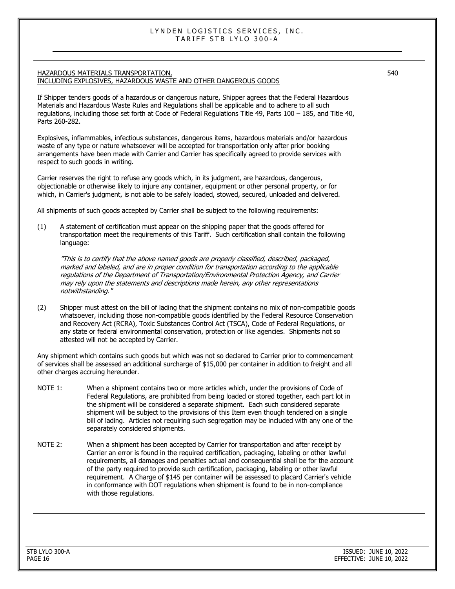|                  | <b>HAZARDOUS MATERIALS TRANSPORTATION,</b><br>INCLUDING EXPLOSIVES, HAZARDOUS WASTE AND OTHER DANGEROUS GOODS                                                                                                                                                                                                                                                                                                                                                                                                                                                                                | 540 |
|------------------|----------------------------------------------------------------------------------------------------------------------------------------------------------------------------------------------------------------------------------------------------------------------------------------------------------------------------------------------------------------------------------------------------------------------------------------------------------------------------------------------------------------------------------------------------------------------------------------------|-----|
| Parts 260-282.   | If Shipper tenders goods of a hazardous or dangerous nature, Shipper agrees that the Federal Hazardous<br>Materials and Hazardous Waste Rules and Regulations shall be applicable and to adhere to all such<br>regulations, including those set forth at Code of Federal Regulations Title 49, Parts 100 - 185, and Title 40,                                                                                                                                                                                                                                                                |     |
|                  | Explosives, inflammables, infectious substances, dangerous items, hazardous materials and/or hazardous<br>waste of any type or nature whatsoever will be accepted for transportation only after prior booking<br>arrangements have been made with Carrier and Carrier has specifically agreed to provide services with<br>respect to such goods in writing.                                                                                                                                                                                                                                  |     |
|                  | Carrier reserves the right to refuse any goods which, in its judgment, are hazardous, dangerous,<br>objectionable or otherwise likely to injure any container, equipment or other personal property, or for<br>which, in Carrier's judgment, is not able to be safely loaded, stowed, secured, unloaded and delivered.                                                                                                                                                                                                                                                                       |     |
|                  | All shipments of such goods accepted by Carrier shall be subject to the following requirements:                                                                                                                                                                                                                                                                                                                                                                                                                                                                                              |     |
| (1)<br>language: | A statement of certification must appear on the shipping paper that the goods offered for<br>transportation meet the requirements of this Tariff. Such certification shall contain the following                                                                                                                                                                                                                                                                                                                                                                                             |     |
|                  | "This is to certify that the above named goods are properly classified, described, packaged,<br>marked and labeled, and are in proper condition for transportation according to the applicable<br>regulations of the Department of Transportation/Environmental Protection Agency, and Carrier<br>may rely upon the statements and descriptions made herein, any other representations<br>notwithstanding."                                                                                                                                                                                  |     |
| (2)              | Shipper must attest on the bill of lading that the shipment contains no mix of non-compatible goods<br>whatsoever, including those non-compatible goods identified by the Federal Resource Conservation<br>and Recovery Act (RCRA), Toxic Substances Control Act (TSCA), Code of Federal Regulations, or<br>any state or federal environmental conservation, protection or like agencies. Shipments not so<br>attested will not be accepted by Carrier.                                                                                                                                      |     |
|                  | Any shipment which contains such goods but which was not so declared to Carrier prior to commencement<br>of services shall be assessed an additional surcharge of \$15,000 per container in addition to freight and all<br>other charges accruing hereunder.                                                                                                                                                                                                                                                                                                                                 |     |
| NOTE 1:          | When a shipment contains two or more articles which, under the provisions of Code of<br>Federal Regulations, are prohibited from being loaded or stored together, each part lot in<br>the shipment will be considered a separate shipment. Each such considered separate<br>shipment will be subject to the provisions of this Item even though tendered on a single<br>bill of lading. Articles not requiring such segregation may be included with any one of the<br>separately considered shipments.                                                                                      |     |
| NOTE 2:          | When a shipment has been accepted by Carrier for transportation and after receipt by<br>Carrier an error is found in the required certification, packaging, labeling or other lawful<br>requirements, all damages and penalties actual and consequential shall be for the account<br>of the party required to provide such certification, packaging, labeling or other lawful<br>requirement. A Charge of \$145 per container will be assessed to placard Carrier's vehicle<br>in conformance with DOT regulations when shipment is found to be in non-compliance<br>with those regulations. |     |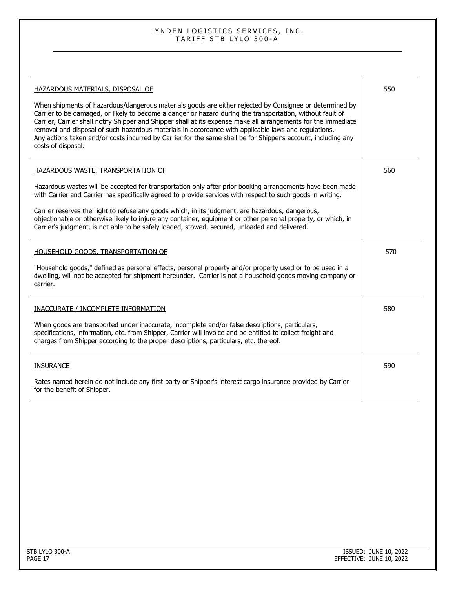| HAZARDOUS MATERIALS, DISPOSAL OF<br>When shipments of hazardous/dangerous materials goods are either rejected by Consignee or determined by<br>Carrier to be damaged, or likely to become a danger or hazard during the transportation, without fault of<br>Carrier, Carrier shall notify Shipper and Shipper shall at its expense make all arrangements for the immediate<br>removal and disposal of such hazardous materials in accordance with applicable laws and regulations.<br>Any actions taken and/or costs incurred by Carrier for the same shall be for Shipper's account, including any<br>costs of disposal. | 550 |
|---------------------------------------------------------------------------------------------------------------------------------------------------------------------------------------------------------------------------------------------------------------------------------------------------------------------------------------------------------------------------------------------------------------------------------------------------------------------------------------------------------------------------------------------------------------------------------------------------------------------------|-----|
| HAZARDOUS WASTE, TRANSPORTATION OF<br>Hazardous wastes will be accepted for transportation only after prior booking arrangements have been made<br>with Carrier and Carrier has specifically agreed to provide services with respect to such goods in writing.<br>Carrier reserves the right to refuse any goods which, in its judgment, are hazardous, dangerous,<br>objectionable or otherwise likely to injure any container, equipment or other personal property, or which, in<br>Carrier's judgment, is not able to be safely loaded, stowed, secured, unloaded and delivered.                                      | 560 |
| HOUSEHOLD GOODS, TRANSPORTATION OF<br>"Household goods," defined as personal effects, personal property and/or property used or to be used in a<br>dwelling, will not be accepted for shipment hereunder. Carrier is not a household goods moving company or<br>carrier.                                                                                                                                                                                                                                                                                                                                                  | 570 |
| INACCURATE / INCOMPLETE INFORMATION<br>When goods are transported under inaccurate, incomplete and/or false descriptions, particulars,<br>specifications, information, etc. from Shipper, Carrier will invoice and be entitled to collect freight and<br>charges from Shipper according to the proper descriptions, particulars, etc. thereof.                                                                                                                                                                                                                                                                            | 580 |
| <b>INSURANCE</b><br>Rates named herein do not include any first party or Shipper's interest cargo insurance provided by Carrier<br>for the benefit of Shipper.                                                                                                                                                                                                                                                                                                                                                                                                                                                            | 590 |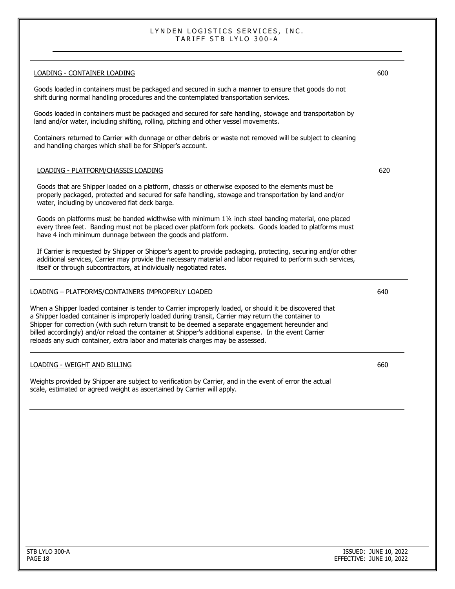| LOADING - CONTAINER LOADING                                                                                                                                                                                                                                                                                                                                                                                                                                                                                    | 600 |
|----------------------------------------------------------------------------------------------------------------------------------------------------------------------------------------------------------------------------------------------------------------------------------------------------------------------------------------------------------------------------------------------------------------------------------------------------------------------------------------------------------------|-----|
| Goods loaded in containers must be packaged and secured in such a manner to ensure that goods do not<br>shift during normal handling procedures and the contemplated transportation services.                                                                                                                                                                                                                                                                                                                  |     |
| Goods loaded in containers must be packaged and secured for safe handling, stowage and transportation by<br>land and/or water, including shifting, rolling, pitching and other vessel movements.                                                                                                                                                                                                                                                                                                               |     |
| Containers returned to Carrier with dunnage or other debris or waste not removed will be subject to cleaning<br>and handling charges which shall be for Shipper's account.                                                                                                                                                                                                                                                                                                                                     |     |
| LOADING - PLATFORM/CHASSIS LOADING                                                                                                                                                                                                                                                                                                                                                                                                                                                                             | 620 |
| Goods that are Shipper loaded on a platform, chassis or otherwise exposed to the elements must be<br>properly packaged, protected and secured for safe handling, stowage and transportation by land and/or<br>water, including by uncovered flat deck barge.                                                                                                                                                                                                                                                   |     |
| Goods on platforms must be banded widthwise with minimum 11/4 inch steel banding material, one placed<br>every three feet. Banding must not be placed over platform fork pockets. Goods loaded to platforms must<br>have 4 inch minimum dunnage between the goods and platform.                                                                                                                                                                                                                                |     |
| If Carrier is requested by Shipper or Shipper's agent to provide packaging, protecting, securing and/or other<br>additional services, Carrier may provide the necessary material and labor required to perform such services,<br>itself or through subcontractors, at individually negotiated rates.                                                                                                                                                                                                           |     |
| LOADING - PLATFORMS/CONTAINERS IMPROPERLY LOADED                                                                                                                                                                                                                                                                                                                                                                                                                                                               | 640 |
| When a Shipper loaded container is tender to Carrier improperly loaded, or should it be discovered that<br>a Shipper loaded container is improperly loaded during transit, Carrier may return the container to<br>Shipper for correction (with such return transit to be deemed a separate engagement hereunder and<br>billed accordingly) and/or reload the container at Shipper's additional expense. In the event Carrier<br>reloads any such container, extra labor and materials charges may be assessed. |     |
| LOADING - WEIGHT AND BILLING                                                                                                                                                                                                                                                                                                                                                                                                                                                                                   | 660 |
| Weights provided by Shipper are subject to verification by Carrier, and in the event of error the actual<br>scale, estimated or agreed weight as ascertained by Carrier will apply.                                                                                                                                                                                                                                                                                                                            |     |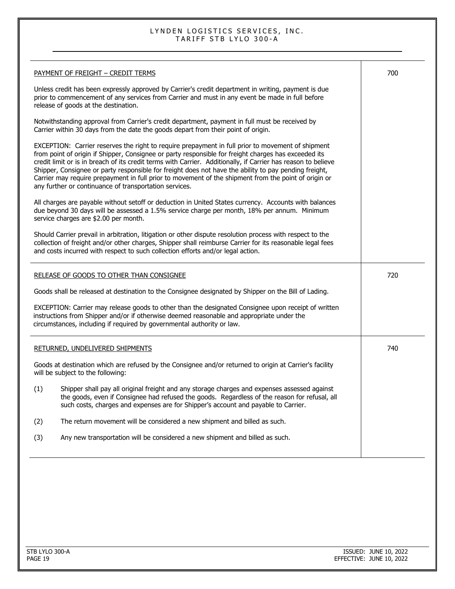| <b>PAYMENT OF FREIGHT - CREDIT TERMS</b>                                                                                                                                                                                                                                                                                                                                                                                                                                                                                                                                                              | 700 |
|-------------------------------------------------------------------------------------------------------------------------------------------------------------------------------------------------------------------------------------------------------------------------------------------------------------------------------------------------------------------------------------------------------------------------------------------------------------------------------------------------------------------------------------------------------------------------------------------------------|-----|
| Unless credit has been expressly approved by Carrier's credit department in writing, payment is due<br>prior to commencement of any services from Carrier and must in any event be made in full before<br>release of goods at the destination.                                                                                                                                                                                                                                                                                                                                                        |     |
| Notwithstanding approval from Carrier's credit department, payment in full must be received by<br>Carrier within 30 days from the date the goods depart from their point of origin.                                                                                                                                                                                                                                                                                                                                                                                                                   |     |
| EXCEPTION: Carrier reserves the right to require prepayment in full prior to movement of shipment<br>from point of origin if Shipper, Consignee or party responsible for freight charges has exceeded its<br>credit limit or is in breach of its credit terms with Carrier. Additionally, if Carrier has reason to believe<br>Shipper, Consignee or party responsible for freight does not have the ability to pay pending freight,<br>Carrier may require prepayment in full prior to movement of the shipment from the point of origin or<br>any further or continuance of transportation services. |     |
| All charges are payable without setoff or deduction in United States currency. Accounts with balances<br>due beyond 30 days will be assessed a 1.5% service charge per month, 18% per annum. Minimum<br>service charges are \$2.00 per month.                                                                                                                                                                                                                                                                                                                                                         |     |
| Should Carrier prevail in arbitration, litigation or other dispute resolution process with respect to the<br>collection of freight and/or other charges, Shipper shall reimburse Carrier for its reasonable legal fees<br>and costs incurred with respect to such collection efforts and/or legal action.                                                                                                                                                                                                                                                                                             |     |
| <b>RELEASE OF GOODS TO OTHER THAN CONSIGNEE</b>                                                                                                                                                                                                                                                                                                                                                                                                                                                                                                                                                       | 720 |
| Goods shall be released at destination to the Consignee designated by Shipper on the Bill of Lading.                                                                                                                                                                                                                                                                                                                                                                                                                                                                                                  |     |
| EXCEPTION: Carrier may release goods to other than the designated Consignee upon receipt of written<br>instructions from Shipper and/or if otherwise deemed reasonable and appropriate under the<br>circumstances, including if required by governmental authority or law.                                                                                                                                                                                                                                                                                                                            |     |
| RETURNED, UNDELIVERED SHIPMENTS                                                                                                                                                                                                                                                                                                                                                                                                                                                                                                                                                                       | 740 |
| Goods at destination which are refused by the Consignee and/or returned to origin at Carrier's facility<br>will be subject to the following:                                                                                                                                                                                                                                                                                                                                                                                                                                                          |     |
| Shipper shall pay all original freight and any storage charges and expenses assessed against<br>(1)<br>the goods, even if Consignee had refused the goods. Regardless of the reason for refusal, all<br>such costs, charges and expenses are for Shipper's account and payable to Carrier.                                                                                                                                                                                                                                                                                                            |     |
| The return movement will be considered a new shipment and billed as such.<br>(2)                                                                                                                                                                                                                                                                                                                                                                                                                                                                                                                      |     |
| Any new transportation will be considered a new shipment and billed as such.<br>(3)                                                                                                                                                                                                                                                                                                                                                                                                                                                                                                                   |     |
|                                                                                                                                                                                                                                                                                                                                                                                                                                                                                                                                                                                                       |     |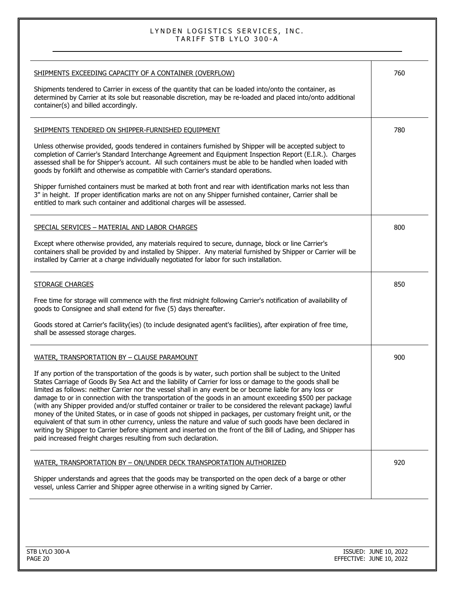| SHIPMENTS EXCEEDING CAPACITY OF A CONTAINER (OVERFLOW)<br>Shipments tendered to Carrier in excess of the quantity that can be loaded into/onto the container, as<br>determined by Carrier at its sole but reasonable discretion, may be re-loaded and placed into/onto additional                                                                                                                                                                                                                                                                                                                                                                                                                                                                                                                                                                                                                                                                                                 | 760 |
|-----------------------------------------------------------------------------------------------------------------------------------------------------------------------------------------------------------------------------------------------------------------------------------------------------------------------------------------------------------------------------------------------------------------------------------------------------------------------------------------------------------------------------------------------------------------------------------------------------------------------------------------------------------------------------------------------------------------------------------------------------------------------------------------------------------------------------------------------------------------------------------------------------------------------------------------------------------------------------------|-----|
| container(s) and billed accordingly.                                                                                                                                                                                                                                                                                                                                                                                                                                                                                                                                                                                                                                                                                                                                                                                                                                                                                                                                              |     |
| SHIPMENTS TENDERED ON SHIPPER-FURNISHED EQUIPMENT                                                                                                                                                                                                                                                                                                                                                                                                                                                                                                                                                                                                                                                                                                                                                                                                                                                                                                                                 | 780 |
| Unless otherwise provided, goods tendered in containers furnished by Shipper will be accepted subject to<br>completion of Carrier's Standard Interchange Agreement and Equipment Inspection Report (E.I.R.). Charges<br>assessed shall be for Shipper's account. All such containers must be able to be handled when loaded with<br>goods by forklift and otherwise as compatible with Carrier's standard operations.                                                                                                                                                                                                                                                                                                                                                                                                                                                                                                                                                             |     |
| Shipper furnished containers must be marked at both front and rear with identification marks not less than<br>3" in height. If proper identification marks are not on any Shipper furnished container, Carrier shall be<br>entitled to mark such container and additional charges will be assessed.                                                                                                                                                                                                                                                                                                                                                                                                                                                                                                                                                                                                                                                                               |     |
| SPECIAL SERVICES - MATERIAL AND LABOR CHARGES                                                                                                                                                                                                                                                                                                                                                                                                                                                                                                                                                                                                                                                                                                                                                                                                                                                                                                                                     | 800 |
| Except where otherwise provided, any materials required to secure, dunnage, block or line Carrier's<br>containers shall be provided by and installed by Shipper. Any material furnished by Shipper or Carrier will be<br>installed by Carrier at a charge individually negotiated for labor for such installation.                                                                                                                                                                                                                                                                                                                                                                                                                                                                                                                                                                                                                                                                |     |
| <b>STORAGE CHARGES</b>                                                                                                                                                                                                                                                                                                                                                                                                                                                                                                                                                                                                                                                                                                                                                                                                                                                                                                                                                            | 850 |
| Free time for storage will commence with the first midnight following Carrier's notification of availability of<br>goods to Consignee and shall extend for five (5) days thereafter.                                                                                                                                                                                                                                                                                                                                                                                                                                                                                                                                                                                                                                                                                                                                                                                              |     |
| Goods stored at Carrier's facility(ies) (to include designated agent's facilities), after expiration of free time,<br>shall be assessed storage charges.                                                                                                                                                                                                                                                                                                                                                                                                                                                                                                                                                                                                                                                                                                                                                                                                                          |     |
| WATER, TRANSPORTATION BY - CLAUSE PARAMOUNT                                                                                                                                                                                                                                                                                                                                                                                                                                                                                                                                                                                                                                                                                                                                                                                                                                                                                                                                       | 900 |
| If any portion of the transportation of the goods is by water, such portion shall be subject to the United<br>States Carriage of Goods By Sea Act and the liability of Carrier for loss or damage to the goods shall be<br>limited as follows: neither Carrier nor the vessel shall in any event be or become liable for any loss or<br>damage to or in connection with the transportation of the goods in an amount exceeding \$500 per package<br>(with any Shipper provided and/or stuffed container or trailer to be considered the relevant package) lawful<br>money of the United States, or in case of goods not shipped in packages, per customary freight unit, or the<br>equivalent of that sum in other currency, unless the nature and value of such goods have been declared in<br>writing by Shipper to Carrier before shipment and inserted on the front of the Bill of Lading, and Shipper has<br>paid increased freight charges resulting from such declaration. |     |
| WATER, TRANSPORTATION BY - ON/UNDER DECK TRANSPORTATION AUTHORIZED                                                                                                                                                                                                                                                                                                                                                                                                                                                                                                                                                                                                                                                                                                                                                                                                                                                                                                                | 920 |
| Shipper understands and agrees that the goods may be transported on the open deck of a barge or other<br>vessel, unless Carrier and Shipper agree otherwise in a writing signed by Carrier.                                                                                                                                                                                                                                                                                                                                                                                                                                                                                                                                                                                                                                                                                                                                                                                       |     |
|                                                                                                                                                                                                                                                                                                                                                                                                                                                                                                                                                                                                                                                                                                                                                                                                                                                                                                                                                                                   |     |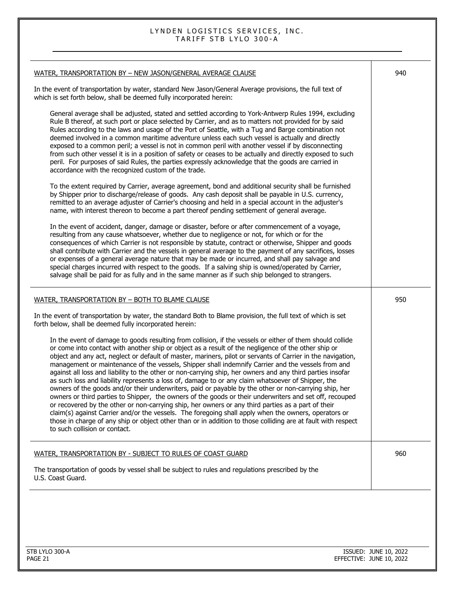| WATER, TRANSPORTATION BY - NEW JASON/GENERAL AVERAGE CLAUSE                                                                                                                                                                                                                                                                                                                                                                                                                                                                                                                                                                                                                                                                                                                                                                                                                                                                                                                                                                                                                                                                                                                                                                                  | 940 |
|----------------------------------------------------------------------------------------------------------------------------------------------------------------------------------------------------------------------------------------------------------------------------------------------------------------------------------------------------------------------------------------------------------------------------------------------------------------------------------------------------------------------------------------------------------------------------------------------------------------------------------------------------------------------------------------------------------------------------------------------------------------------------------------------------------------------------------------------------------------------------------------------------------------------------------------------------------------------------------------------------------------------------------------------------------------------------------------------------------------------------------------------------------------------------------------------------------------------------------------------|-----|
| In the event of transportation by water, standard New Jason/General Average provisions, the full text of<br>which is set forth below, shall be deemed fully incorporated herein:                                                                                                                                                                                                                                                                                                                                                                                                                                                                                                                                                                                                                                                                                                                                                                                                                                                                                                                                                                                                                                                             |     |
| General average shall be adjusted, stated and settled according to York-Antwerp Rules 1994, excluding<br>Rule B thereof, at such port or place selected by Carrier, and as to matters not provided for by said<br>Rules according to the laws and usage of the Port of Seattle, with a Tug and Barge combination not<br>deemed involved in a common maritime adventure unless each such vessel is actually and directly<br>exposed to a common peril; a vessel is not in common peril with another vessel if by disconnecting<br>from such other vessel it is in a position of safety or ceases to be actually and directly exposed to such<br>peril. For purposes of said Rules, the parties expressly acknowledge that the goods are carried in<br>accordance with the recognized custom of the trade.                                                                                                                                                                                                                                                                                                                                                                                                                                     |     |
| To the extent required by Carrier, average agreement, bond and additional security shall be furnished<br>by Shipper prior to discharge/release of goods. Any cash deposit shall be payable in U.S. currency,<br>remitted to an average adjuster of Carrier's choosing and held in a special account in the adjuster's<br>name, with interest thereon to become a part thereof pending settlement of general average.                                                                                                                                                                                                                                                                                                                                                                                                                                                                                                                                                                                                                                                                                                                                                                                                                         |     |
| In the event of accident, danger, damage or disaster, before or after commencement of a voyage,<br>resulting from any cause whatsoever, whether due to negligence or not, for which or for the<br>consequences of which Carrier is not responsible by statute, contract or otherwise, Shipper and goods<br>shall contribute with Carrier and the vessels in general average to the payment of any sacrifices, losses<br>or expenses of a general average nature that may be made or incurred, and shall pay salvage and<br>special charges incurred with respect to the goods. If a salving ship is owned/operated by Carrier,<br>salvage shall be paid for as fully and in the same manner as if such ship belonged to strangers.                                                                                                                                                                                                                                                                                                                                                                                                                                                                                                           |     |
| WATER, TRANSPORTATION BY - BOTH TO BLAME CLAUSE                                                                                                                                                                                                                                                                                                                                                                                                                                                                                                                                                                                                                                                                                                                                                                                                                                                                                                                                                                                                                                                                                                                                                                                              | 950 |
| In the event of transportation by water, the standard Both to Blame provision, the full text of which is set<br>forth below, shall be deemed fully incorporated herein:                                                                                                                                                                                                                                                                                                                                                                                                                                                                                                                                                                                                                                                                                                                                                                                                                                                                                                                                                                                                                                                                      |     |
| In the event of damage to goods resulting from collision, if the vessels or either of them should collide<br>or come into contact with another ship or object as a result of the negligence of the other ship or<br>object and any act, neglect or default of master, mariners, pilot or servants of Carrier in the navigation,<br>management or maintenance of the vessels, Shipper shall indemnify Carrier and the vessels from and<br>against all loss and liability to the other or non-carrying ship, her owners and any third parties insofar<br>as such loss and liability represents a loss of, damage to or any claim whatsoever of Shipper, the<br>owners of the goods and/or their underwriters, paid or payable by the other or non-carrying ship, her<br>owners or third parties to Shipper, the owners of the goods or their underwriters and set off, recouped<br>or recovered by the other or non-carrying ship, her owners or any third parties as a part of their<br>claim(s) against Carrier and/or the vessels. The foregoing shall apply when the owners, operators or<br>those in charge of any ship or object other than or in addition to those colliding are at fault with respect<br>to such collision or contact. |     |
| WATER, TRANSPORTATION BY - SUBJECT TO RULES OF COAST GUARD                                                                                                                                                                                                                                                                                                                                                                                                                                                                                                                                                                                                                                                                                                                                                                                                                                                                                                                                                                                                                                                                                                                                                                                   | 960 |
| The transportation of goods by vessel shall be subject to rules and regulations prescribed by the<br>U.S. Coast Guard.                                                                                                                                                                                                                                                                                                                                                                                                                                                                                                                                                                                                                                                                                                                                                                                                                                                                                                                                                                                                                                                                                                                       |     |
|                                                                                                                                                                                                                                                                                                                                                                                                                                                                                                                                                                                                                                                                                                                                                                                                                                                                                                                                                                                                                                                                                                                                                                                                                                              |     |
|                                                                                                                                                                                                                                                                                                                                                                                                                                                                                                                                                                                                                                                                                                                                                                                                                                                                                                                                                                                                                                                                                                                                                                                                                                              |     |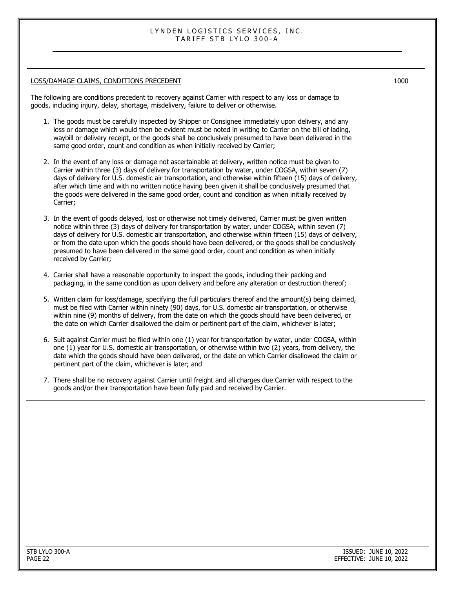#### LOSS/DAMAGE CLAIMS, CONDITIONS PRECEDENT

The following are conditions precedent to recovery against Carrier with respect to any loss or damage to goods, including injury, delay, shortage, misdelivery, failure to deliver or otherwise.

1. The goods must be carefully inspected by Shipper or Consignee immediately upon delivery, and any loss or damage which would then be evident must be noted in writing to Carrier on the bill of lading, waybill or delivery receipt, or the goods shall be conclusively presumed to have been delivered in the same good order, count and condition as when initially received by Carrier;

| 2. In the event of any loss or damage not ascertainable at delivery, written notice must be given to       |
|------------------------------------------------------------------------------------------------------------|
| Carrier within three (3) days of delivery for transportation by water, under COGSA, within seven (7)       |
| days of delivery for U.S. domestic air transportation, and otherwise within fifteen (15) days of delivery, |
| after which time and with no written notice having been given it shall be conclusively presumed that       |
| the goods were delivered in the same good order, count and condition as when initially received by         |
| Carrier;                                                                                                   |

- 3. In the event of goods delayed, lost or otherwise not timely delivered, Carrier must be given written notice within three (3) days of delivery for transportation by water, under COGSA, within seven (7) days of delivery for U.S. domestic air transportation, and otherwise within fifteen (15) days of delivery, or from the date upon which the goods should have been delivered, or the goods shall be conclusively presumed to have been delivered in the same good order, count and condition as when initially received by Carrier;
- 4. Carrier shall have a reasonable opportunity to inspect the goods, including their packing and packaging, in the same condition as upon delivery and before any alteration or destruction thereof;
- 5. Written claim for loss/damage, specifying the full particulars thereof and the amount(s) being claimed, must be filed with Carrier within ninety (90) days, for U.S. domestic air transportation, or otherwise within nine (9) months of delivery, from the date on which the goods should have been delivered, or the date on which Carrier disallowed the claim or pertinent part of the claim, whichever is later;
- 6. Suit against Carrier must be filed within one (1) year for transportation by water, under COGSA, within one (1) year for U.S. domestic air transportation, or otherwise within two (2) years, from delivery, the date which the goods should have been delivered, or the date on which Carrier disallowed the claim or pertinent part of the claim, whichever is later; and
- 7. There shall be no recovery against Carrier until freight and all charges due Carrier with respect to the goods and/or their transportation have been fully paid and received by Carrier.

1000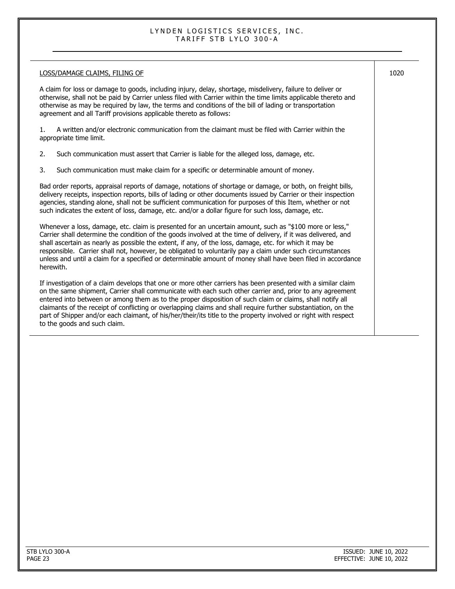### LOSS/DAMAGE CLAIMS, FILING OF A claim for loss or damage to goods, including injury, delay, shortage, misdelivery, failure to deliver or otherwise, shall not be paid by Carrier unless filed with Carrier within the time limits applicable thereto and otherwise as may be required by law, the terms and conditions of the bill of lading or transportation agreement and all Tariff provisions applicable thereto as follows: 1. A written and/or electronic communication from the claimant must be filed with Carrier within the appropriate time limit. 2. Such communication must assert that Carrier is liable for the alleged loss, damage, etc. 3. Such communication must make claim for a specific or determinable amount of money. Bad order reports, appraisal reports of damage, notations of shortage or damage, or both, on freight bills, delivery receipts, inspection reports, bills of lading or other documents issued by Carrier or their inspection agencies, standing alone, shall not be sufficient communication for purposes of this Item, whether or not such indicates the extent of loss, damage, etc. and/or a dollar figure for such loss, damage, etc. Whenever a loss, damage, etc. claim is presented for an uncertain amount, such as "\$100 more or less," Carrier shall determine the condition of the goods involved at the time of delivery, if it was delivered, and shall ascertain as nearly as possible the extent, if any, of the loss, damage, etc. for which it may be responsible. Carrier shall not, however, be obligated to voluntarily pay a claim under such circumstances unless and until a claim for a specified or determinable amount of money shall have been filed in accordance herewith. If investigation of a claim develops that one or more other carriers has been presented with a similar claim on the same shipment, Carrier shall communicate with each such other carrier and, prior to any agreement entered into between or among them as to the proper disposition of such claim or claims, shall notify all claimants of the receipt of conflicting or overlapping claims and shall require further substantiation, on the part of Shipper and/or each claimant, of his/her/their/its title to the property involved or right with respect to the goods and such claim. 1020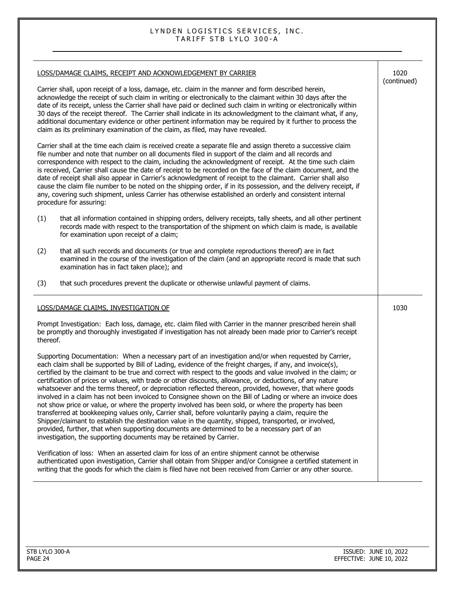|                                                                                                                                                                                                                                                                                                                                                                                                                                                                                                                                                                                                                                                             | LOSS/DAMAGE CLAIMS, RECEIPT AND ACKNOWLEDGEMENT BY CARRIER                                                                                                                                                                                                                                                                                                                                                                                                                                                                                                                                                                                                                                                                                                                                                                                                                                                                                                                                                                                                                                                                                                                        | 1020<br>(continued) |
|-------------------------------------------------------------------------------------------------------------------------------------------------------------------------------------------------------------------------------------------------------------------------------------------------------------------------------------------------------------------------------------------------------------------------------------------------------------------------------------------------------------------------------------------------------------------------------------------------------------------------------------------------------------|-----------------------------------------------------------------------------------------------------------------------------------------------------------------------------------------------------------------------------------------------------------------------------------------------------------------------------------------------------------------------------------------------------------------------------------------------------------------------------------------------------------------------------------------------------------------------------------------------------------------------------------------------------------------------------------------------------------------------------------------------------------------------------------------------------------------------------------------------------------------------------------------------------------------------------------------------------------------------------------------------------------------------------------------------------------------------------------------------------------------------------------------------------------------------------------|---------------------|
| Carrier shall, upon receipt of a loss, damage, etc. claim in the manner and form described herein,<br>acknowledge the receipt of such claim in writing or electronically to the claimant within 30 days after the<br>date of its receipt, unless the Carrier shall have paid or declined such claim in writing or electronically within<br>30 days of the receipt thereof. The Carrier shall indicate in its acknowledgment to the claimant what, if any,<br>additional documentary evidence or other pertinent information may be required by it further to process the<br>claim as its preliminary examination of the claim, as filed, may have revealed. |                                                                                                                                                                                                                                                                                                                                                                                                                                                                                                                                                                                                                                                                                                                                                                                                                                                                                                                                                                                                                                                                                                                                                                                   |                     |
|                                                                                                                                                                                                                                                                                                                                                                                                                                                                                                                                                                                                                                                             | Carrier shall at the time each claim is received create a separate file and assign thereto a successive claim<br>file number and note that number on all documents filed in support of the claim and all records and<br>correspondence with respect to the claim, including the acknowledgment of receipt. At the time such claim<br>is received, Carrier shall cause the date of receipt to be recorded on the face of the claim document, and the<br>date of receipt shall also appear in Carrier's acknowledgment of receipt to the claimant. Carrier shall also<br>cause the claim file number to be noted on the shipping order, if in its possession, and the delivery receipt, if<br>any, covering such shipment, unless Carrier has otherwise established an orderly and consistent internal<br>procedure for assuring:                                                                                                                                                                                                                                                                                                                                                   |                     |
| (1)                                                                                                                                                                                                                                                                                                                                                                                                                                                                                                                                                                                                                                                         | that all information contained in shipping orders, delivery receipts, tally sheets, and all other pertinent<br>records made with respect to the transportation of the shipment on which claim is made, is available<br>for examination upon receipt of a claim;                                                                                                                                                                                                                                                                                                                                                                                                                                                                                                                                                                                                                                                                                                                                                                                                                                                                                                                   |                     |
| (2)                                                                                                                                                                                                                                                                                                                                                                                                                                                                                                                                                                                                                                                         | that all such records and documents (or true and complete reproductions thereof) are in fact<br>examined in the course of the investigation of the claim (and an appropriate record is made that such<br>examination has in fact taken place); and                                                                                                                                                                                                                                                                                                                                                                                                                                                                                                                                                                                                                                                                                                                                                                                                                                                                                                                                |                     |
| (3)                                                                                                                                                                                                                                                                                                                                                                                                                                                                                                                                                                                                                                                         | that such procedures prevent the duplicate or otherwise unlawful payment of claims.                                                                                                                                                                                                                                                                                                                                                                                                                                                                                                                                                                                                                                                                                                                                                                                                                                                                                                                                                                                                                                                                                               |                     |
|                                                                                                                                                                                                                                                                                                                                                                                                                                                                                                                                                                                                                                                             | LOSS/DAMAGE CLAIMS, INVESTIGATION OF                                                                                                                                                                                                                                                                                                                                                                                                                                                                                                                                                                                                                                                                                                                                                                                                                                                                                                                                                                                                                                                                                                                                              | 1030                |
| thereof.                                                                                                                                                                                                                                                                                                                                                                                                                                                                                                                                                                                                                                                    | Prompt Investigation: Each loss, damage, etc. claim filed with Carrier in the manner prescribed herein shall<br>be promptly and thoroughly investigated if investigation has not already been made prior to Carrier's receipt                                                                                                                                                                                                                                                                                                                                                                                                                                                                                                                                                                                                                                                                                                                                                                                                                                                                                                                                                     |                     |
|                                                                                                                                                                                                                                                                                                                                                                                                                                                                                                                                                                                                                                                             | Supporting Documentation: When a necessary part of an investigation and/or when requested by Carrier,<br>each claim shall be supported by Bill of Lading, evidence of the freight charges, if any, and invoice(s),<br>certified by the claimant to be true and correct with respect to the goods and value involved in the claim; or<br>certification of prices or values, with trade or other discounts, allowance, or deductions, of any nature<br>whatsoever and the terms thereof, or depreciation reflected thereon, provided, however, that where goods<br>involved in a claim has not been invoiced to Consignee shown on the Bill of Lading or where an invoice does<br>not show price or value, or where the property involved has been sold, or where the property has been<br>transferred at bookkeeping values only, Carrier shall, before voluntarily paying a claim, require the<br>Shipper/claimant to establish the destination value in the quantity, shipped, transported, or involved,<br>provided, further, that when supporting documents are determined to be a necessary part of an<br>investigation, the supporting documents may be retained by Carrier. |                     |
|                                                                                                                                                                                                                                                                                                                                                                                                                                                                                                                                                                                                                                                             | Verification of loss: When an asserted claim for loss of an entire shipment cannot be otherwise<br>authenticated upon investigation, Carrier shall obtain from Shipper and/or Consignee a certified statement in<br>writing that the goods for which the claim is filed have not been received from Carrier or any other source.                                                                                                                                                                                                                                                                                                                                                                                                                                                                                                                                                                                                                                                                                                                                                                                                                                                  |                     |
|                                                                                                                                                                                                                                                                                                                                                                                                                                                                                                                                                                                                                                                             |                                                                                                                                                                                                                                                                                                                                                                                                                                                                                                                                                                                                                                                                                                                                                                                                                                                                                                                                                                                                                                                                                                                                                                                   |                     |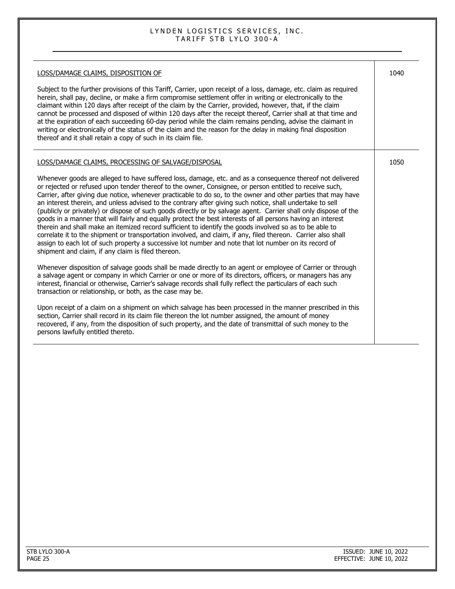| LOSS/DAMAGE CLAIMS, DISPOSITION OF                                                                                                                                                                                                                                                                                                                                                                                                                                                                                                                                                                                                                                                                                                                                                                                                                                                                                                                                                                                                                                               | 1040 |
|----------------------------------------------------------------------------------------------------------------------------------------------------------------------------------------------------------------------------------------------------------------------------------------------------------------------------------------------------------------------------------------------------------------------------------------------------------------------------------------------------------------------------------------------------------------------------------------------------------------------------------------------------------------------------------------------------------------------------------------------------------------------------------------------------------------------------------------------------------------------------------------------------------------------------------------------------------------------------------------------------------------------------------------------------------------------------------|------|
| Subject to the further provisions of this Tariff, Carrier, upon receipt of a loss, damage, etc. claim as required<br>herein, shall pay, decline, or make a firm compromise settlement offer in writing or electronically to the<br>claimant within 120 days after receipt of the claim by the Carrier, provided, however, that, if the claim<br>cannot be processed and disposed of within 120 days after the receipt thereof, Carrier shall at that time and<br>at the expiration of each succeeding 60-day period while the claim remains pending, advise the claimant in<br>writing or electronically of the status of the claim and the reason for the delay in making final disposition<br>thereof and it shall retain a copy of such in its claim file.                                                                                                                                                                                                                                                                                                                    |      |
| LOSS/DAMAGE CLAIMS, PROCESSING OF SALVAGE/DISPOSAL                                                                                                                                                                                                                                                                                                                                                                                                                                                                                                                                                                                                                                                                                                                                                                                                                                                                                                                                                                                                                               | 1050 |
| Whenever goods are alleged to have suffered loss, damage, etc. and as a consequence thereof not delivered<br>or rejected or refused upon tender thereof to the owner, Consignee, or person entitled to receive such,<br>Carrier, after giving due notice, whenever practicable to do so, to the owner and other parties that may have<br>an interest therein, and unless advised to the contrary after giving such notice, shall undertake to sell<br>(publicly or privately) or dispose of such goods directly or by salvage agent. Carrier shall only dispose of the<br>goods in a manner that will fairly and equally protect the best interests of all persons having an interest<br>therein and shall make an itemized record sufficient to identify the goods involved so as to be able to<br>correlate it to the shipment or transportation involved, and claim, if any, filed thereon. Carrier also shall<br>assign to each lot of such property a successive lot number and note that lot number on its record of<br>shipment and claim, if any claim is filed thereon. |      |
| Whenever disposition of salvage goods shall be made directly to an agent or employee of Carrier or through<br>a salvage agent or company in which Carrier or one or more of its directors, officers, or managers has any<br>interest, financial or otherwise, Carrier's salvage records shall fully reflect the particulars of each such<br>transaction or relationship, or both, as the case may be.                                                                                                                                                                                                                                                                                                                                                                                                                                                                                                                                                                                                                                                                            |      |
| Upon receipt of a claim on a shipment on which salvage has been processed in the manner prescribed in this<br>section, Carrier shall record in its claim file thereon the lot number assigned, the amount of money<br>recovered, if any, from the disposition of such property, and the date of transmittal of such money to the<br>persons lawfully entitled thereto.                                                                                                                                                                                                                                                                                                                                                                                                                                                                                                                                                                                                                                                                                                           |      |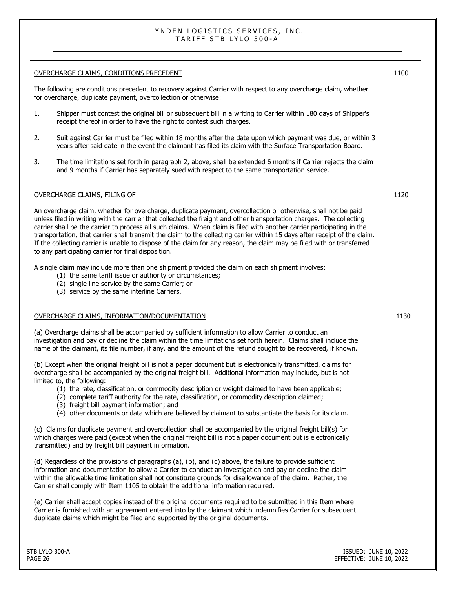| OVERCHARGE CLAIMS, CONDITIONS PRECEDENT<br>1100<br>The following are conditions precedent to recovery against Carrier with respect to any overcharge claim, whether<br>for overcharge, duplicate payment, overcollection or otherwise:<br>Shipper must contest the original bill or subsequent bill in a writing to Carrier within 180 days of Shipper's<br>1.<br>receipt thereof in order to have the right to contest such charges.<br>Suit against Carrier must be filed within 18 months after the date upon which payment was due, or within 3<br>2.<br>years after said date in the event the claimant has filed its claim with the Surface Transportation Board.         |      |
|---------------------------------------------------------------------------------------------------------------------------------------------------------------------------------------------------------------------------------------------------------------------------------------------------------------------------------------------------------------------------------------------------------------------------------------------------------------------------------------------------------------------------------------------------------------------------------------------------------------------------------------------------------------------------------|------|
|                                                                                                                                                                                                                                                                                                                                                                                                                                                                                                                                                                                                                                                                                 |      |
|                                                                                                                                                                                                                                                                                                                                                                                                                                                                                                                                                                                                                                                                                 |      |
|                                                                                                                                                                                                                                                                                                                                                                                                                                                                                                                                                                                                                                                                                 |      |
|                                                                                                                                                                                                                                                                                                                                                                                                                                                                                                                                                                                                                                                                                 |      |
| The time limitations set forth in paragraph 2, above, shall be extended 6 months if Carrier rejects the claim<br>3.<br>and 9 months if Carrier has separately sued with respect to the same transportation service.                                                                                                                                                                                                                                                                                                                                                                                                                                                             |      |
| 1120<br><b>OVERCHARGE CLAIMS, FILING OF</b>                                                                                                                                                                                                                                                                                                                                                                                                                                                                                                                                                                                                                                     |      |
| An overcharge claim, whether for overcharge, duplicate payment, overcollection or otherwise, shall not be paid<br>unless filed in writing with the carrier that collected the freight and other transportation charges. The collecting<br>carrier shall be the carrier to process all such claims. When claim is filed with another carrier participating in the<br>transportation, that carrier shall transmit the claim to the collecting carrier within 15 days after receipt of the claim.<br>If the collecting carrier is unable to dispose of the claim for any reason, the claim may be filed with or transferred<br>to any participating carrier for final disposition. |      |
| A single claim may include more than one shipment provided the claim on each shipment involves:<br>(1) the same tariff issue or authority or circumstances;<br>(2) single line service by the same Carrier; or<br>(3) service by the same interline Carriers.                                                                                                                                                                                                                                                                                                                                                                                                                   |      |
| OVERCHARGE CLAIMS, INFORMATION/DOCUMENTATION                                                                                                                                                                                                                                                                                                                                                                                                                                                                                                                                                                                                                                    | 1130 |
| (a) Overcharge claims shall be accompanied by sufficient information to allow Carrier to conduct an<br>investigation and pay or decline the claim within the time limitations set forth herein. Claims shall include the<br>name of the claimant, its file number, if any, and the amount of the refund sought to be recovered, if known.                                                                                                                                                                                                                                                                                                                                       |      |
| (b) Except when the original freight bill is not a paper document but is electronically transmitted, claims for<br>overcharge shall be accompanied by the original freight bill. Additional information may include, but is not<br>limited to, the following:<br>(1) the rate, classification, or commodity description or weight claimed to have been applicable;<br>(2) complete tariff authority for the rate, classification, or commodity description claimed;<br>(3) freight bill payment information; and<br>(4) other documents or data which are believed by claimant to substantiate the basis for its claim.                                                         |      |
| (c) Claims for duplicate payment and overcollection shall be accompanied by the original freight bill(s) for<br>which charges were paid (except when the original freight bill is not a paper document but is electronically<br>transmitted) and by freight bill payment information.                                                                                                                                                                                                                                                                                                                                                                                           |      |
| (d) Regardless of the provisions of paragraphs (a), (b), and (c) above, the failure to provide sufficient                                                                                                                                                                                                                                                                                                                                                                                                                                                                                                                                                                       |      |
| information and documentation to allow a Carrier to conduct an investigation and pay or decline the claim<br>within the allowable time limitation shall not constitute grounds for disallowance of the claim. Rather, the<br>Carrier shall comply with Item 1105 to obtain the additional information required.                                                                                                                                                                                                                                                                                                                                                                 |      |
| (e) Carrier shall accept copies instead of the original documents required to be submitted in this Item where<br>Carrier is furnished with an agreement entered into by the claimant which indemnifies Carrier for subsequent<br>duplicate claims which might be filed and supported by the original documents.                                                                                                                                                                                                                                                                                                                                                                 |      |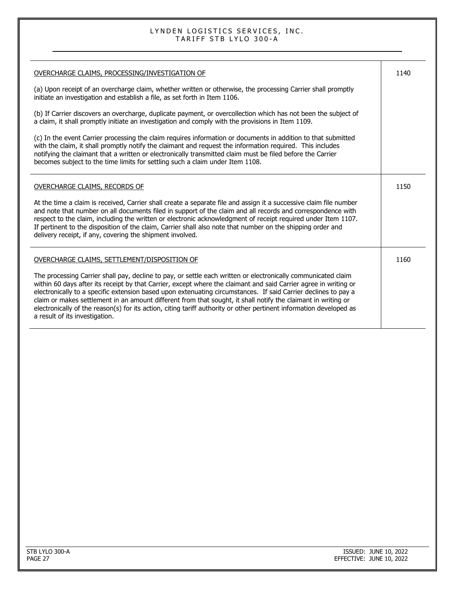| OVERCHARGE CLAIMS, PROCESSING/INVESTIGATION OF                                                                                                                                                                                                                                                                                                                                                                                                                                                                                                                                                                                | 1140 |
|-------------------------------------------------------------------------------------------------------------------------------------------------------------------------------------------------------------------------------------------------------------------------------------------------------------------------------------------------------------------------------------------------------------------------------------------------------------------------------------------------------------------------------------------------------------------------------------------------------------------------------|------|
| (a) Upon receipt of an overcharge claim, whether written or otherwise, the processing Carrier shall promptly<br>initiate an investigation and establish a file, as set forth in Item 1106.                                                                                                                                                                                                                                                                                                                                                                                                                                    |      |
| (b) If Carrier discovers an overcharge, duplicate payment, or overcollection which has not been the subject of<br>a claim, it shall promptly initiate an investigation and comply with the provisions in Item 1109.                                                                                                                                                                                                                                                                                                                                                                                                           |      |
| (c) In the event Carrier processing the claim requires information or documents in addition to that submitted<br>with the claim, it shall promptly notify the claimant and request the information required. This includes<br>notifying the claimant that a written or electronically transmitted claim must be filed before the Carrier<br>becomes subject to the time limits for settling such a claim under Item 1108.                                                                                                                                                                                                     |      |
| <b>OVERCHARGE CLAIMS, RECORDS OF</b>                                                                                                                                                                                                                                                                                                                                                                                                                                                                                                                                                                                          | 1150 |
| At the time a claim is received, Carrier shall create a separate file and assign it a successive claim file number<br>and note that number on all documents filed in support of the claim and all records and correspondence with<br>respect to the claim, including the written or electronic acknowledgment of receipt required under Item 1107.<br>If pertinent to the disposition of the claim, Carrier shall also note that number on the shipping order and<br>delivery receipt, if any, covering the shipment involved.                                                                                                |      |
| OVERCHARGE CLAIMS, SETTLEMENT/DISPOSITION OF                                                                                                                                                                                                                                                                                                                                                                                                                                                                                                                                                                                  | 1160 |
| The processing Carrier shall pay, decline to pay, or settle each written or electronically communicated claim<br>within 60 days after its receipt by that Carrier, except where the claimant and said Carrier agree in writing or<br>electronically to a specific extension based upon extenuating circumstances. If said Carrier declines to pay a<br>claim or makes settlement in an amount different from that sought, it shall notify the claimant in writing or<br>electronically of the reason(s) for its action, citing tariff authority or other pertinent information developed as<br>a result of its investigation. |      |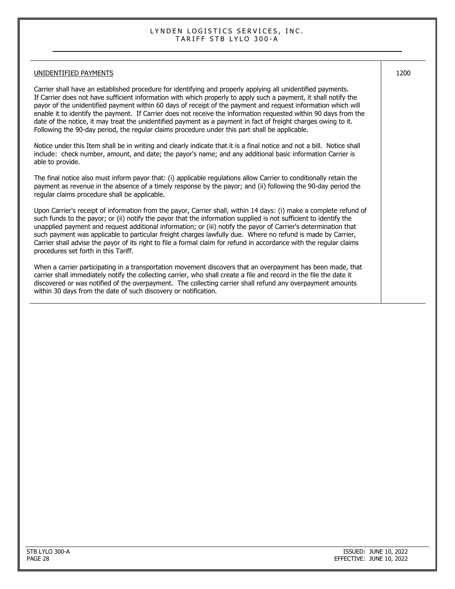#### UNIDENTIFIED PAYMENTS Carrier shall have an established procedure for identifying and properly applying all unidentified payments. If Carrier does not have sufficient information with which properly to apply such a payment, it shall notify the payor of the unidentified payment within 60 days of receipt of the payment and request information which will enable it to identify the payment. If Carrier does not receive the information requested within 90 days from the date of the notice, it may treat the unidentified payment as a payment in fact of freight charges owing to it. Following the 90-day period, the regular claims procedure under this part shall be applicable. Notice under this Item shall be in writing and clearly indicate that it is a final notice and not a bill. Notice shall include: check number, amount, and date; the payor's name; and any additional basic information Carrier is able to provide. The final notice also must inform payor that: (i) applicable regulations allow Carrier to conditionally retain the payment as revenue in the absence of a timely response by the payor; and (ii) following the 90-day period the regular claims procedure shall be applicable. Upon Carrier's receipt of information from the payor, Carrier shall, within 14 days: (i) make a complete refund of such funds to the payor; or (ii) notify the payor that the information supplied is not sufficient to identify the unapplied payment and request additional information; or (iii) notify the payor of Carrier's determination that such payment was applicable to particular freight charges lawfully due. Where no refund is made by Carrier, Carrier shall advise the payor of its right to file a formal claim for refund in accordance with the regular claims procedures set forth in this Tariff. When a carrier participating in a transportation movement discovers that an overpayment has been made, that carrier shall immediately notify the collecting carrier, who shall create a file and record in the file the date it discovered or was notified of the overpayment. The collecting carrier shall refund any overpayment amounts within 30 days from the date of such discovery or notification. 1200